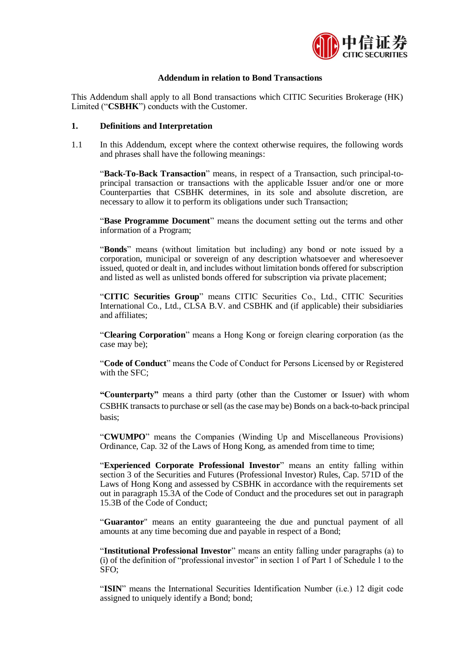

## **Addendum in relation to Bond Transactions**

This Addendum shall apply to all Bond transactions which CITIC Securities Brokerage (HK) Limited ("**CSBHK**") conducts with the Customer.

#### **1. Definitions and Interpretation**

1.1 In this Addendum, except where the context otherwise requires, the following words and phrases shall have the following meanings:

"**Back-To-Back Transaction**" means, in respect of a Transaction, such principal-toprincipal transaction or transactions with the applicable Issuer and/or one or more Counterparties that CSBHK determines, in its sole and absolute discretion, are necessary to allow it to perform its obligations under such Transaction;

"**Base Programme Document**" means the document setting out the terms and other information of a Program;

"**Bonds**" means (without limitation but including) any bond or note issued by a corporation, municipal or sovereign of any description whatsoever and wheresoever issued, quoted or dealt in, and includes without limitation bonds offered for subscription and listed as well as unlisted bonds offered for subscription via private placement;

"**CITIC Securities Group**" means CITIC Securities Co., Ltd., CITIC Securities International Co., Ltd., CLSA B.V. and CSBHK and (if applicable) their subsidiaries and affiliates;

"**Clearing Corporation**" means a Hong Kong or foreign clearing corporation (as the case may be);

"**Code of Conduct**" means the Code of Conduct for Persons Licensed by or Registered with the SFC:

**"Counterparty"** means a third party (other than the Customer or Issuer) with whom CSBHK transacts to purchase or sell (as the case may be) Bonds on a back-to-back principal basis;

"**CWUMPO**" means the Companies (Winding Up and Miscellaneous Provisions) Ordinance, Cap. 32 of the Laws of Hong Kong, as amended from time to time;

"**Experienced Corporate Professional Investor**" means an entity falling within section 3 of the Securities and Futures (Professional Investor) Rules, Cap. 571D of the Laws of Hong Kong and assessed by CSBHK in accordance with the requirements set out in paragraph 15.3A of the Code of Conduct and the procedures set out in paragraph 15.3B of the Code of Conduct;

"**Guarantor**" means an entity guaranteeing the due and punctual payment of all amounts at any time becoming due and payable in respect of a Bond;

"**Institutional Professional Investor**" means an entity falling under paragraphs (a) to (i) of the definition of "professional investor" in section 1 of Part 1 of Schedule 1 to the SFO;

"**ISIN**" means the International Securities Identification Number (i.e.) 12 digit code assigned to uniquely identify a Bond; bond;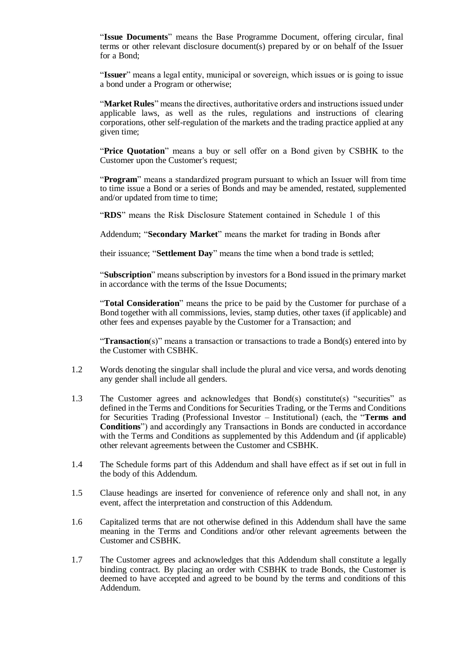"**Issue Documents**" means the Base Programme Document, offering circular, final terms or other relevant disclosure document(s) prepared by or on behalf of the Issuer for a Bond;

"**Issuer**" means a legal entity, municipal or sovereign, which issues or is going to issue a bond under a Program or otherwise;

"**Market Rules**" means the directives, authoritative orders and instructions issued under applicable laws, as well as the rules, regulations and instructions of clearing corporations, other self-regulation of the markets and the trading practice applied at any given time;

"**Price Quotation**" means a buy or sell offer on a Bond given by CSBHK to the Customer upon the Customer's request;

"**Program**" means a standardized program pursuant to which an Issuer will from time to time issue a Bond or a series of Bonds and may be amended, restated, supplemented and/or updated from time to time;

"**RDS**" means the Risk Disclosure Statement contained in Schedule 1 of this

Addendum; "**Secondary Market**" means the market for trading in Bonds after

their issuance; "**Settlement Day**" means the time when a bond trade is settled;

"**Subscription**" means subscription by investors for a Bond issued in the primary market in accordance with the terms of the Issue Documents;

"**Total Consideration**" means the price to be paid by the Customer for purchase of a Bond together with all commissions, levies, stamp duties, other taxes (if applicable) and other fees and expenses payable by the Customer for a Transaction; and

"**Transaction**(s)" means a transaction or transactions to trade a Bond(s) entered into by the Customer with CSBHK.

- 1.2 Words denoting the singular shall include the plural and vice versa, and words denoting any gender shall include all genders.
- 1.3 The Customer agrees and acknowledges that Bond(s) constitute(s) "securities" as defined in the Terms and Conditions for Securities Trading, or the Terms and Conditions for Securities Trading (Professional Investor – Institutional) (each, the "**Terms and Conditions**") and accordingly any Transactions in Bonds are conducted in accordance with the Terms and Conditions as supplemented by this Addendum and (if applicable) other relevant agreements between the Customer and CSBHK.
- 1.4 The Schedule forms part of this Addendum and shall have effect as if set out in full in the body of this Addendum.
- 1.5 Clause headings are inserted for convenience of reference only and shall not, in any event, affect the interpretation and construction of this Addendum.
- 1.6 Capitalized terms that are not otherwise defined in this Addendum shall have the same meaning in the Terms and Conditions and/or other relevant agreements between the Customer and CSBHK.
- 1.7 The Customer agrees and acknowledges that this Addendum shall constitute a legally binding contract. By placing an order with CSBHK to trade Bonds, the Customer is deemed to have accepted and agreed to be bound by the terms and conditions of this Addendum.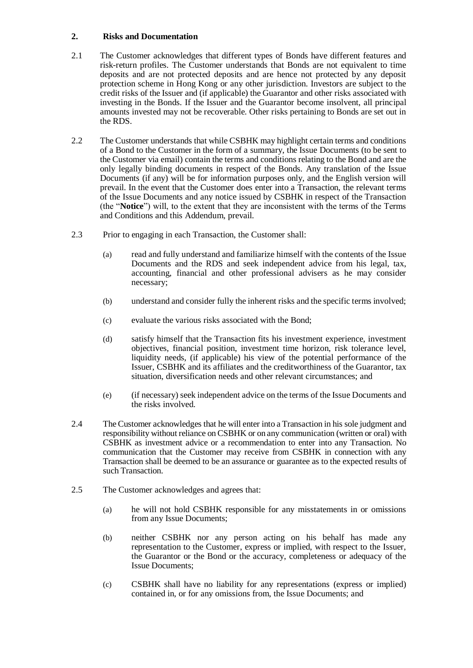## **2. Risks and Documentation**

- 2.1 The Customer acknowledges that different types of Bonds have different features and risk-return profiles. The Customer understands that Bonds are not equivalent to time deposits and are not protected deposits and are hence not protected by any deposit protection scheme in Hong Kong or any other jurisdiction. Investors are subject to the credit risks of the Issuer and (if applicable) the Guarantor and other risks associated with investing in the Bonds. If the Issuer and the Guarantor become insolvent, all principal amounts invested may not be recoverable. Other risks pertaining to Bonds are set out in the RDS.
- 2.2 The Customer understands that while CSBHK may highlight certain terms and conditions of a Bond to the Customer in the form of a summary, the Issue Documents (to be sent to the Customer via email) contain the terms and conditions relating to the Bond and are the only legally binding documents in respect of the Bonds. Any translation of the Issue Documents (if any) will be for information purposes only, and the English version will prevail. In the event that the Customer does enter into a Transaction, the relevant terms of the Issue Documents and any notice issued by CSBHK in respect of the Transaction (the "**Notice**") will, to the extent that they are inconsistent with the terms of the Terms and Conditions and this Addendum, prevail.
- 2.3 Prior to engaging in each Transaction, the Customer shall:
	- (a) read and fully understand and familiarize himself with the contents of the Issue Documents and the RDS and seek independent advice from his legal, tax, accounting, financial and other professional advisers as he may consider necessary;
	- (b) understand and consider fully the inherent risks and the specific terms involved;
	- (c) evaluate the various risks associated with the Bond;
	- (d) satisfy himself that the Transaction fits his investment experience, investment objectives, financial position, investment time horizon, risk tolerance level, liquidity needs, (if applicable) his view of the potential performance of the Issuer, CSBHK and its affiliates and the creditworthiness of the Guarantor, tax situation, diversification needs and other relevant circumstances; and
	- (e) (if necessary) seek independent advice on the terms of the Issue Documents and the risks involved.
- 2.4 The Customer acknowledges that he will enter into a Transaction in his sole judgment and responsibility without reliance on CSBHK or on any communication (written or oral) with CSBHK as investment advice or a recommendation to enter into any Transaction. No communication that the Customer may receive from CSBHK in connection with any Transaction shall be deemed to be an assurance or guarantee as to the expected results of such Transaction.
- 2.5 The Customer acknowledges and agrees that:
	- (a) he will not hold CSBHK responsible for any misstatements in or omissions from any Issue Documents;
	- (b) neither CSBHK nor any person acting on his behalf has made any representation to the Customer, express or implied, with respect to the Issuer, the Guarantor or the Bond or the accuracy, completeness or adequacy of the Issue Documents;
	- (c) CSBHK shall have no liability for any representations (express or implied) contained in, or for any omissions from, the Issue Documents; and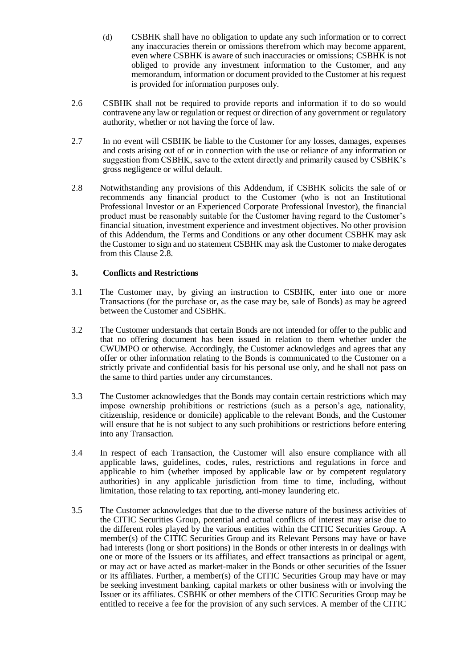(d) CSBHK shall have no obligation to update any such information or to correct any inaccuracies therein or omissions therefrom which may become apparent, even where CSBHK is aware of such inaccuracies or omissions; CSBHK is not obliged to provide any investment information to the Customer, and any memorandum, information or document provided to the Customer at his request is provided for information purposes only.

- 2.6 CSBHK shall not be required to provide reports and information if to do so would contravene any law or regulation or request or direction of any government or regulatory authority, whether or not having the force of law.
- 2.7 In no event will CSBHK be liable to the Customer for any losses, damages, expenses and costs arising out of or in connection with the use or reliance of any information or suggestion from CSBHK, save to the extent directly and primarily caused by CSBHK's gross negligence or wilful default.
- 2.8 Notwithstanding any provisions of this Addendum, if CSBHK solicits the sale of or recommends any financial product to the Customer (who is not an Institutional Professional Investor or an Experienced Corporate Professional Investor), the financial product must be reasonably suitable for the Customer having regard to the Customer's financial situation, investment experience and investment objectives. No other provision of this Addendum, the Terms and Conditions or any other document CSBHK may ask the Customer to sign and no statement CSBHK may ask the Customer to make derogates from this Clause 2.8.

## **3. Conflicts and Restrictions**

- 3.1 The Customer may, by giving an instruction to CSBHK, enter into one or more Transactions (for the purchase or, as the case may be, sale of Bonds) as may be agreed between the Customer and CSBHK.
- 3.2 The Customer understands that certain Bonds are not intended for offer to the public and that no offering document has been issued in relation to them whether under the CWUMPO or otherwise. Accordingly, the Customer acknowledges and agrees that any offer or other information relating to the Bonds is communicated to the Customer on a strictly private and confidential basis for his personal use only, and he shall not pass on the same to third parties under any circumstances.
- 3.3 The Customer acknowledges that the Bonds may contain certain restrictions which may impose ownership prohibitions or restrictions (such as a person's age, nationality, citizenship, residence or domicile) applicable to the relevant Bonds, and the Customer will ensure that he is not subject to any such prohibitions or restrictions before entering into any Transaction.
- 3.4 In respect of each Transaction, the Customer will also ensure compliance with all applicable laws, guidelines, codes, rules, restrictions and regulations in force and applicable to him (whether imposed by applicable law or by competent regulatory authorities) in any applicable jurisdiction from time to time, including, without limitation, those relating to tax reporting, anti-money laundering etc.
- 3.5 The Customer acknowledges that due to the diverse nature of the business activities of the CITIC Securities Group, potential and actual conflicts of interest may arise due to the different roles played by the various entities within the CITIC Securities Group. A member(s) of the CITIC Securities Group and its Relevant Persons may have or have had interests (long or short positions) in the Bonds or other interests in or dealings with one or more of the Issuers or its affiliates, and effect transactions as principal or agent, or may act or have acted as market-maker in the Bonds or other securities of the Issuer or its affiliates. Further, a member(s) of the CITIC Securities Group may have or may be seeking investment banking, capital markets or other business with or involving the Issuer or its affiliates. CSBHK or other members of the CITIC Securities Group may be entitled to receive a fee for the provision of any such services. A member of the CITIC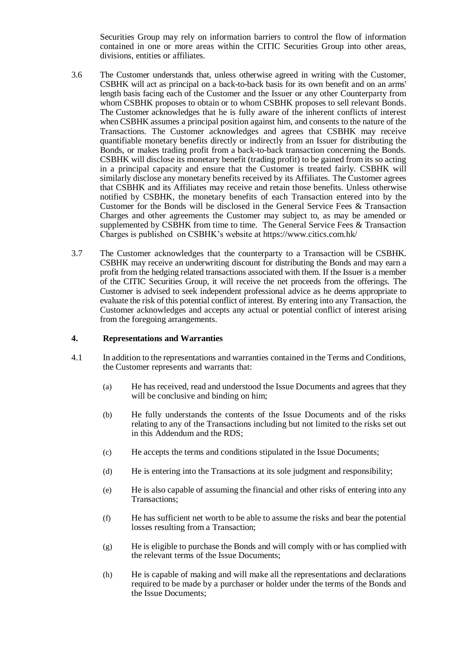Securities Group may rely on information barriers to control the flow of information contained in one or more areas within the CITIC Securities Group into other areas, divisions, entities or affiliates.

- 3.6 The Customer understands that, unless otherwise agreed in writing with the Customer, CSBHK will act as principal on a back-to-back basis for its own benefit and on an arms' length basis facing each of the Customer and the Issuer or any other Counterparty from whom CSBHK proposes to obtain or to whom CSBHK proposes to sell relevant Bonds. The Customer acknowledges that he is fully aware of the inherent conflicts of interest when CSBHK assumes a principal position against him, and consents to the nature of the Transactions. The Customer acknowledges and agrees that CSBHK may receive quantifiable monetary benefits directly or indirectly from an Issuer for distributing the Bonds, or makes trading profit from a back-to-back transaction concerning the Bonds. CSBHK will disclose its monetary benefit (trading profit) to be gained from its so acting in a principal capacity and ensure that the Customer is treated fairly. CSBHK will similarly disclose any monetary benefits received by its Affiliates. The Customer agrees that CSBHK and its Affiliates may receive and retain those benefits. Unless otherwise notified by CSBHK, the monetary benefits of each Transaction entered into by the Customer for the Bonds will be disclosed in the General Service Fees & Transaction Charges and other agreements the Customer may subject to, as may be amended or supplemented by CSBHK from time to time. The General Service Fees & Transaction Charges is published on CSBHK's website at https://www.citics.com.hk/
- 3.7 The Customer acknowledges that the counterparty to a Transaction will be CSBHK. CSBHK may receive an underwriting discount for distributing the Bonds and may earn a profit from the hedging related transactions associated with them. If the Issuer is a member of the CITIC Securities Group, it will receive the net proceeds from the offerings. The Customer is advised to seek independent professional advice as he deems appropriate to evaluate the risk of this potential conflict of interest. By entering into any Transaction, the Customer acknowledges and accepts any actual or potential conflict of interest arising from the foregoing arrangements.

#### **4. Representations and Warranties**

- 4.1 In addition to the representations and warranties contained in the Terms and Conditions, the Customer represents and warrants that:
	- (a) He has received, read and understood the Issue Documents and agrees that they will be conclusive and binding on him;
	- (b) He fully understands the contents of the Issue Documents and of the risks relating to any of the Transactions including but not limited to the risks set out in this Addendum and the RDS;
	- (c) He accepts the terms and conditions stipulated in the Issue Documents;
	- (d) He is entering into the Transactions at its sole judgment and responsibility;
	- (e) He is also capable of assuming the financial and other risks of entering into any Transactions;
	- (f) He has sufficient net worth to be able to assume the risks and bear the potential losses resulting from a Transaction;
	- (g) He is eligible to purchase the Bonds and will comply with or has complied with the relevant terms of the Issue Documents;
	- (h) He is capable of making and will make all the representations and declarations required to be made by a purchaser or holder under the terms of the Bonds and the Issue Documents;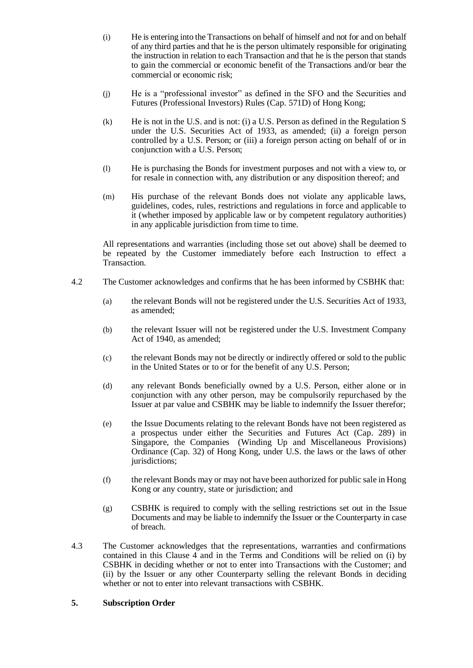- (i) He is entering into the Transactions on behalf of himself and not for and on behalf of any third parties and that he is the person ultimately responsible for originating the instruction in relation to each Transaction and that he is the person that stands to gain the commercial or economic benefit of the Transactions and/or bear the commercial or economic risk;
- (j) He is a "professional investor" as defined in the SFO and the Securities and Futures (Professional Investors) Rules (Cap. 571D) of Hong Kong;
- (k) He is not in the U.S. and is not: (i) a U.S. Person as defined in the Regulation S under the U.S. Securities Act of 1933, as amended; (ii) a foreign person controlled by a U.S. Person; or (iii) a foreign person acting on behalf of or in conjunction with a U.S. Person;
- (l) He is purchasing the Bonds for investment purposes and not with a view to, or for resale in connection with, any distribution or any disposition thereof; and
- (m) His purchase of the relevant Bonds does not violate any applicable laws, guidelines, codes, rules, restrictions and regulations in force and applicable to it (whether imposed by applicable law or by competent regulatory authorities) in any applicable jurisdiction from time to time.

All representations and warranties (including those set out above) shall be deemed to be repeated by the Customer immediately before each Instruction to effect a Transaction.

- 4.2 The Customer acknowledges and confirms that he has been informed by CSBHK that:
	- (a) the relevant Bonds will not be registered under the U.S. Securities Act of 1933, as amended;
	- (b) the relevant Issuer will not be registered under the U.S. Investment Company Act of 1940, as amended;
	- (c) the relevant Bonds may not be directly or indirectly offered or sold to the public in the United States or to or for the benefit of any U.S. Person;
	- (d) any relevant Bonds beneficially owned by a U.S. Person, either alone or in conjunction with any other person, may be compulsorily repurchased by the Issuer at par value and CSBHK may be liable to indemnify the Issuer therefor;
	- (e) the Issue Documents relating to the relevant Bonds have not been registered as a prospectus under either the Securities and Futures Act (Cap. 289) in Singapore, the Companies (Winding Up and Miscellaneous Provisions) Ordinance (Cap. 32) of Hong Kong, under U.S. the laws or the laws of other jurisdictions;
	- (f) the relevant Bonds may or may not have been authorized for public sale in Hong Kong or any country, state or jurisdiction; and
	- (g) CSBHK is required to comply with the selling restrictions set out in the Issue Documents and may be liable to indemnify the Issuer or the Counterparty in case of breach.
- 4.3 The Customer acknowledges that the representations, warranties and confirmations contained in this Clause  $\overline{4}$  and in the Terms and Conditions will be relied on (i) by CSBHK in deciding whether or not to enter into Transactions with the Customer; and (ii) by the Issuer or any other Counterparty selling the relevant Bonds in deciding whether or not to enter into relevant transactions with CSBHK.

# **5. Subscription Order**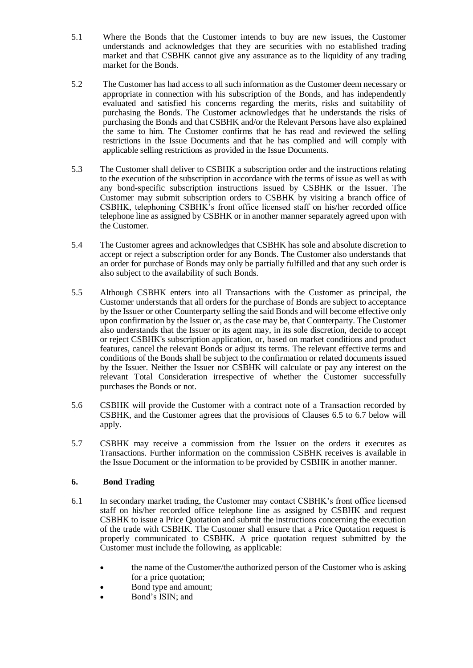- 5.1 Where the Bonds that the Customer intends to buy are new issues, the Customer understands and acknowledges that they are securities with no established trading market and that CSBHK cannot give any assurance as to the liquidity of any trading market for the Bonds.
- 5.2 The Customer has had access to all such information as the Customer deem necessary or appropriate in connection with his subscription of the Bonds, and has independently evaluated and satisfied his concerns regarding the merits, risks and suitability of purchasing the Bonds. The Customer acknowledges that he understands the risks of purchasing the Bonds and that CSBHK and/or the Relevant Persons have also explained the same to him. The Customer confirms that he has read and reviewed the selling restrictions in the Issue Documents and that he has complied and will comply with applicable selling restrictions as provided in the Issue Documents.
- 5.3 The Customer shall deliver to CSBHK a subscription order and the instructions relating to the execution of the subscription in accordance with the terms of issue as well as with any bond-specific subscription instructions issued by CSBHK or the Issuer. The Customer may submit subscription orders to CSBHK by visiting a branch office of CSBHK, telephoning CSBHK's front office licensed staff on his/her recorded office telephone line as assigned by CSBHK or in another manner separately agreed upon with the Customer.
- 5.4 The Customer agrees and acknowledges that CSBHK has sole and absolute discretion to accept or reject a subscription order for any Bonds. The Customer also understands that an order for purchase of Bonds may only be partially fulfilled and that any such order is also subject to the availability of such Bonds.
- 5.5 Although CSBHK enters into all Transactions with the Customer as principal, the Customer understands that all orders for the purchase of Bonds are subject to acceptance by the Issuer or other Counterparty selling the said Bonds and will become effective only upon confirmation by the Issuer or, as the case may be, that Counterparty. The Customer also understands that the Issuer or its agent may, in its sole discretion, decide to accept or reject CSBHK's subscription application, or, based on market conditions and product features, cancel the relevant Bonds or adjust its terms. The relevant effective terms and conditions of the Bonds shall be subject to the confirmation or related documents issued by the Issuer. Neither the Issuer nor CSBHK will calculate or pay any interest on the relevant Total Consideration irrespective of whether the Customer successfully purchases the Bonds or not.
- 5.6 CSBHK will provide the Customer with a contract note of a Transaction recorded by CSBHK, and the Customer agrees that the provisions of Clauses 6.5 to 6.7 below will apply.
- 5.7 CSBHK may receive a commission from the Issuer on the orders it executes as Transactions. Further information on the commission CSBHK receives is available in the Issue Document or the information to be provided by CSBHK in another manner.

# **6. Bond Trading**

- 6.1 In secondary market trading, the Customer may contact CSBHK's front office licensed staff on his/her recorded office telephone line as assigned by CSBHK and request CSBHK to issue a Price Quotation and submit the instructions concerning the execution of the trade with CSBHK. The Customer shall ensure that a Price Quotation request is properly communicated to CSBHK. A price quotation request submitted by the Customer must include the following, as applicable:
	- the name of the Customer/the authorized person of the Customer who is asking for a price quotation;
	- Bond type and amount;
	- Bond's ISIN; and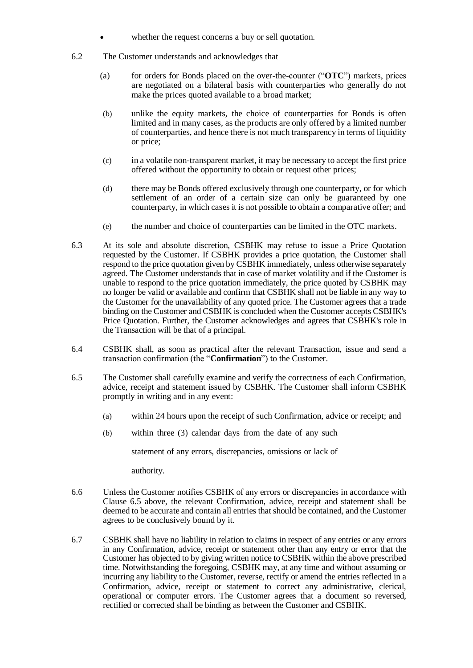- whether the request concerns a buy or sell quotation.
- 6.2 The Customer understands and acknowledges that
	- (a) for orders for Bonds placed on the over-the-counter ("**OTC**") markets, prices are negotiated on a bilateral basis with counterparties who generally do not make the prices quoted available to a broad market;
	- (b) unlike the equity markets, the choice of counterparties for Bonds is often limited and in many cases, as the products are only offered by a limited number of counterparties, and hence there is not much transparency in terms of liquidity or price;
	- (c) in a volatile non-transparent market, it may be necessary to accept the first price offered without the opportunity to obtain or request other prices;
	- (d) there may be Bonds offered exclusively through one counterparty, or for which settlement of an order of a certain size can only be guaranteed by one counterparty, in which cases it is not possible to obtain a comparative offer; and
	- (e) the number and choice of counterparties can be limited in the OTC markets.
- 6.3 At its sole and absolute discretion, CSBHK may refuse to issue a Price Quotation requested by the Customer. If CSBHK provides a price quotation, the Customer shall respond to the price quotation given by CSBHK immediately, unless otherwise separately agreed. The Customer understands that in case of market volatility and if the Customer is unable to respond to the price quotation immediately, the price quoted by CSBHK may no longer be valid or available and confirm that CSBHK shall not be liable in any way to the Customer for the unavailability of any quoted price. The Customer agrees that a trade binding on the Customer and CSBHK is concluded when the Customer accepts CSBHK's Price Quotation. Further, the Customer acknowledges and agrees that CSBHK's role in the Transaction will be that of a principal.
- 6.4 CSBHK shall, as soon as practical after the relevant Transaction, issue and send a transaction confirmation (the "**Confirmation**") to the Customer.
- 6.5 The Customer shall carefully examine and verify the correctness of each Confirmation, advice, receipt and statement issued by CSBHK. The Customer shall inform CSBHK promptly in writing and in any event:
	- (a) within 24 hours upon the receipt of such Confirmation, advice or receipt; and
	- (b) within three (3) calendar days from the date of any such

statement of any errors, discrepancies, omissions or lack of

authority.

- 6.6 Unless the Customer notifies CSBHK of any errors or discrepancies in accordance with Clause 6.5 above, the relevant Confirmation, advice, receipt and statement shall be deemed to be accurate and contain all entries that should be contained, and the Customer agrees to be conclusively bound by it.
- 6.7 CSBHK shall have no liability in relation to claims in respect of any entries or any errors in any Confirmation, advice, receipt or statement other than any entry or error that the Customer has objected to by giving written notice to CSBHK within the above prescribed time. Notwithstanding the foregoing, CSBHK may, at any time and without assuming or incurring any liability to the Customer, reverse, rectify or amend the entries reflected in a Confirmation, advice, receipt or statement to correct any administrative, clerical, operational or computer errors. The Customer agrees that a document so reversed, rectified or corrected shall be binding as between the Customer and CSBHK.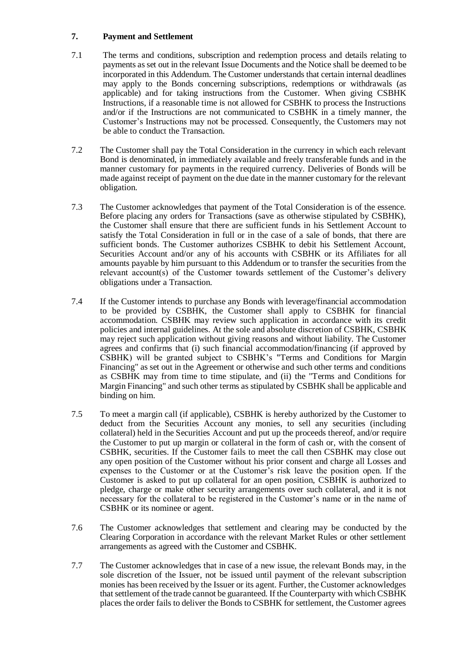# **7. Payment and Settlement**

- 7.1 The terms and conditions, subscription and redemption process and details relating to payments as set out in the relevant Issue Documents and the Notice shall be deemed to be incorporated in this Addendum. The Customer understands that certain internal deadlines may apply to the Bonds concerning subscriptions, redemptions or withdrawals (as applicable) and for taking instructions from the Customer. When giving CSBHK Instructions, if a reasonable time is not allowed for CSBHK to process the Instructions and/or if the Instructions are not communicated to CSBHK in a timely manner, the Customer's Instructions may not be processed. Consequently, the Customers may not be able to conduct the Transaction.
- 7.2 The Customer shall pay the Total Consideration in the currency in which each relevant Bond is denominated, in immediately available and freely transferable funds and in the manner customary for payments in the required currency. Deliveries of Bonds will be made against receipt of payment on the due date in the manner customary for the relevant obligation.
- 7.3 The Customer acknowledges that payment of the Total Consideration is of the essence. Before placing any orders for Transactions (save as otherwise stipulated by CSBHK), the Customer shall ensure that there are sufficient funds in his Settlement Account to satisfy the Total Consideration in full or in the case of a sale of bonds, that there are sufficient bonds. The Customer authorizes CSBHK to debit his Settlement Account, Securities Account and/or any of his accounts with CSBHK or its Affiliates for all amounts payable by him pursuant to this Addendum or to transfer the securities from the relevant account(s) of the Customer towards settlement of the Customer's delivery obligations under a Transaction.
- 7.4 If the Customer intends to purchase any Bonds with leverage/financial accommodation to be provided by CSBHK, the Customer shall apply to CSBHK for financial accommodation. CSBHK may review such application in accordance with its credit policies and internal guidelines. At the sole and absolute discretion of CSBHK, CSBHK may reject such application without giving reasons and without liability. The Customer agrees and confirms that (i) such financial accommodation/financing (if approved by CSBHK) will be granted subject to CSBHK's "Terms and Conditions for Margin Financing" as set out in the Agreement or otherwise and such other terms and conditions as CSBHK may from time to time stipulate, and (ii) the "Terms and Conditions for Margin Financing" and such other terms as stipulated by CSBHK shall be applicable and binding on him.
- 7.5 To meet a margin call (if applicable), CSBHK is hereby authorized by the Customer to deduct from the Securities Account any monies, to sell any securities (including collateral) held in the Securities Account and put up the proceeds thereof, and/or require the Customer to put up margin or collateral in the form of cash or, with the consent of CSBHK, securities. If the Customer fails to meet the call then CSBHK may close out any open position of the Customer without his prior consent and charge all Losses and expenses to the Customer or at the Customer's risk leave the position open. If the Customer is asked to put up collateral for an open position, CSBHK is authorized to pledge, charge or make other security arrangements over such collateral, and it is not necessary for the collateral to be registered in the Customer's name or in the name of CSBHK or its nominee or agent.
- 7.6 The Customer acknowledges that settlement and clearing may be conducted by the Clearing Corporation in accordance with the relevant Market Rules or other settlement arrangements as agreed with the Customer and CSBHK.
- 7.7 The Customer acknowledges that in case of a new issue, the relevant Bonds may, in the sole discretion of the Issuer, not be issued until payment of the relevant subscription monies has been received by the Issuer or its agent. Further, the Customer acknowledges that settlement of the trade cannot be guaranteed. If the Counterparty with which CSBHK places the order fails to deliver the Bonds to CSBHK for settlement, the Customer agrees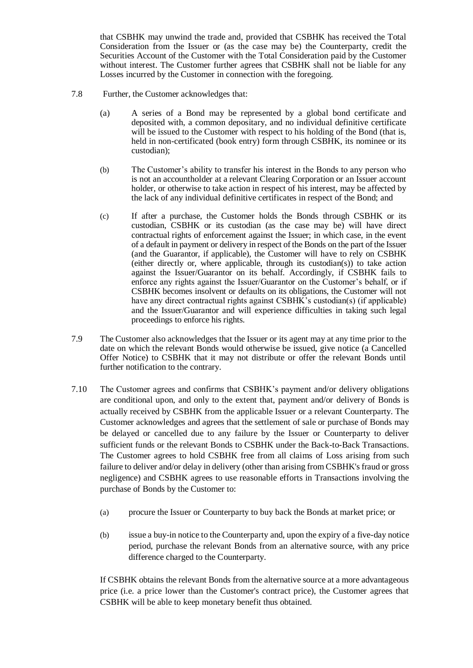that CSBHK may unwind the trade and, provided that CSBHK has received the Total Consideration from the Issuer or (as the case may be) the Counterparty, credit the Securities Account of the Customer with the Total Consideration paid by the Customer without interest. The Customer further agrees that CSBHK shall not be liable for any Losses incurred by the Customer in connection with the foregoing.

- 7.8 Further, the Customer acknowledges that:
	- (a) A series of a Bond may be represented by a global bond certificate and deposited with, a common depositary, and no individual definitive certificate will be issued to the Customer with respect to his holding of the Bond (that is, held in non-certificated (book entry) form through CSBHK, its nominee or its custodian);
	- (b) The Customer's ability to transfer his interest in the Bonds to any person who is not an accountholder at a relevant Clearing Corporation or an Issuer account holder, or otherwise to take action in respect of his interest, may be affected by the lack of any individual definitive certificates in respect of the Bond; and
	- (c) If after a purchase, the Customer holds the Bonds through CSBHK or its custodian, CSBHK or its custodian (as the case may be) will have direct contractual rights of enforcement against the Issuer; in which case, in the event of a default in payment or delivery in respect of the Bonds on the part of the Issuer (and the Guarantor, if applicable), the Customer will have to rely on CSBHK (either directly or, where applicable, through its custodian(s)) to take action against the Issuer/Guarantor on its behalf. Accordingly, if CSBHK fails to enforce any rights against the Issuer/Guarantor on the Customer's behalf, or if CSBHK becomes insolvent or defaults on its obligations, the Customer will not have any direct contractual rights against CSBHK's custodian(s) (if applicable) and the Issuer/Guarantor and will experience difficulties in taking such legal proceedings to enforce his rights.
- 7.9 The Customer also acknowledges that the Issuer or its agent may at any time prior to the date on which the relevant Bonds would otherwise be issued, give notice (a Cancelled Offer Notice) to CSBHK that it may not distribute or offer the relevant Bonds until further notification to the contrary.
- 7.10 The Customer agrees and confirms that CSBHK's payment and/or delivery obligations are conditional upon, and only to the extent that, payment and/or delivery of Bonds is actually received by CSBHK from the applicable Issuer or a relevant Counterparty. The Customer acknowledges and agrees that the settlement of sale or purchase of Bonds may be delayed or cancelled due to any failure by the Issuer or Counterparty to deliver sufficient funds or the relevant Bonds to CSBHK under the Back-to-Back Transactions. The Customer agrees to hold CSBHK free from all claims of Loss arising from such failure to deliver and/or delay in delivery (other than arising from CSBHK's fraud or gross negligence) and CSBHK agrees to use reasonable efforts in Transactions involving the purchase of Bonds by the Customer to:
	- (a) procure the Issuer or Counterparty to buy back the Bonds at market price; or
	- (b) issue a buy-in notice to the Counterparty and, upon the expiry of a five-day notice period, purchase the relevant Bonds from an alternative source, with any price difference charged to the Counterparty.

If CSBHK obtains the relevant Bonds from the alternative source at a more advantageous price (i.e. a price lower than the Customer's contract price), the Customer agrees that CSBHK will be able to keep monetary benefit thus obtained.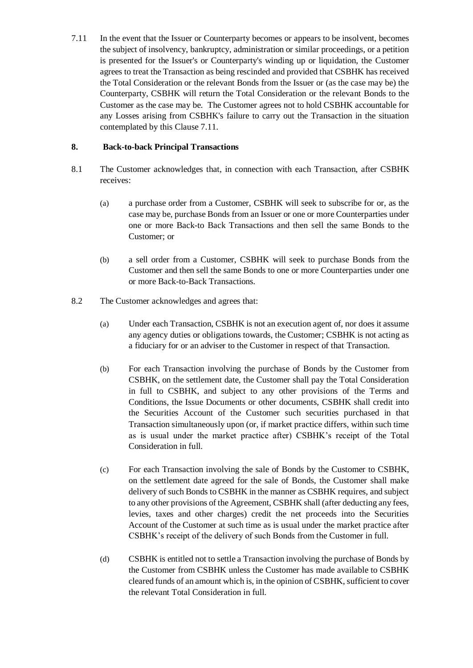7.11 In the event that the Issuer or Counterparty becomes or appears to be insolvent, becomes the subject of insolvency, bankruptcy, administration or similar proceedings, or a petition is presented for the Issuer's or Counterparty's winding up or liquidation, the Customer agrees to treat the Transaction as being rescinded and provided that CSBHK has received the Total Consideration or the relevant Bonds from the Issuer or (as the case may be) the Counterparty, CSBHK will return the Total Consideration or the relevant Bonds to the Customer as the case may be. The Customer agrees not to hold CSBHK accountable for any Losses arising from CSBHK's failure to carry out the Transaction in the situation contemplated by this Clause 7.11.

# **8. Back-to-back Principal Transactions**

- 8.1 The Customer acknowledges that, in connection with each Transaction, after CSBHK receives:
	- (a) a purchase order from a Customer, CSBHK will seek to subscribe for or, as the case may be, purchase Bonds from an Issuer or one or more Counterparties under one or more Back-to Back Transactions and then sell the same Bonds to the Customer; or
	- (b) a sell order from a Customer, CSBHK will seek to purchase Bonds from the Customer and then sell the same Bonds to one or more Counterparties under one or more Back-to-Back Transactions.
- 8.2 The Customer acknowledges and agrees that:
	- (a) Under each Transaction, CSBHK is not an execution agent of, nor does it assume any agency duties or obligations towards, the Customer; CSBHK is not acting as a fiduciary for or an adviser to the Customer in respect of that Transaction.
	- (b) For each Transaction involving the purchase of Bonds by the Customer from CSBHK, on the settlement date, the Customer shall pay the Total Consideration in full to CSBHK, and subject to any other provisions of the Terms and Conditions, the Issue Documents or other documents, CSBHK shall credit into the Securities Account of the Customer such securities purchased in that Transaction simultaneously upon (or, if market practice differs, within such time as is usual under the market practice after) CSBHK's receipt of the Total Consideration in full.
	- (c) For each Transaction involving the sale of Bonds by the Customer to CSBHK, on the settlement date agreed for the sale of Bonds, the Customer shall make delivery of such Bonds to CSBHK in the manner as CSBHK requires, and subject to any other provisions of the Agreement, CSBHK shall (after deducting any fees, levies, taxes and other charges) credit the net proceeds into the Securities Account of the Customer at such time as is usual under the market practice after CSBHK's receipt of the delivery of such Bonds from the Customer in full.
	- (d) CSBHK is entitled not to settle a Transaction involving the purchase of Bonds by the Customer from CSBHK unless the Customer has made available to CSBHK cleared funds of an amount which is, in the opinion of CSBHK, sufficient to cover the relevant Total Consideration in full.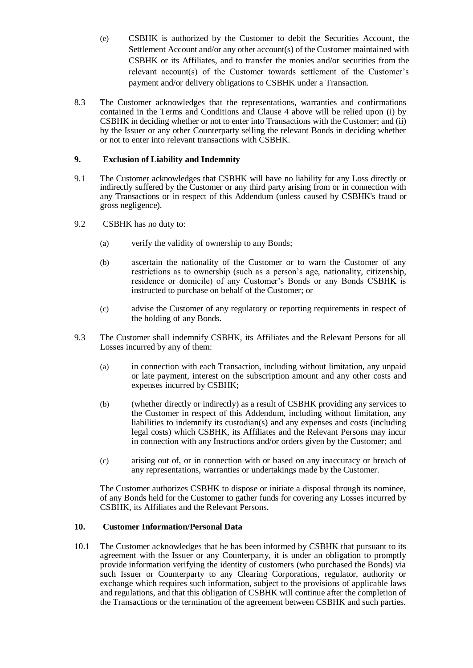(e) CSBHK is authorized by the Customer to debit the Securities Account, the Settlement Account and/or any other account(s) of the Customer maintained with CSBHK or its Affiliates, and to transfer the monies and/or securities from the relevant account(s) of the Customer towards settlement of the Customer's payment and/or delivery obligations to CSBHK under a Transaction.

8.3 The Customer acknowledges that the representations, warranties and confirmations contained in the Terms and Conditions and Clause 4 above will be relied upon (i) by CSBHK in deciding whether or not to enter into Transactions with the Customer; and (ii) by the Issuer or any other Counterparty selling the relevant Bonds in deciding whether or not to enter into relevant transactions with CSBHK.

# **9. Exclusion of Liability and Indemnity**

- 9.1 The Customer acknowledges that CSBHK will have no liability for any Loss directly or indirectly suffered by the Customer or any third party arising from or in connection with any Transactions or in respect of this Addendum (unless caused by CSBHK's fraud or gross negligence).
- 9.2 CSBHK has no duty to:
	- (a) verify the validity of ownership to any Bonds;
	- (b) ascertain the nationality of the Customer or to warn the Customer of any restrictions as to ownership (such as a person's age, nationality, citizenship, residence or domicile) of any Customer's Bonds or any Bonds CSBHK is instructed to purchase on behalf of the Customer; or
	- (c) advise the Customer of any regulatory or reporting requirements in respect of the holding of any Bonds.
- 9.3 The Customer shall indemnify CSBHK, its Affiliates and the Relevant Persons for all Losses incurred by any of them:
	- (a) in connection with each Transaction, including without limitation, any unpaid or late payment, interest on the subscription amount and any other costs and expenses incurred by CSBHK;
	- (b) (whether directly or indirectly) as a result of CSBHK providing any services to the Customer in respect of this Addendum, including without limitation, any liabilities to indemnify its custodian(s) and any expenses and costs (including legal costs) which CSBHK, its Affiliates and the Relevant Persons may incur in connection with any Instructions and/or orders given by the Customer; and
	- (c) arising out of, or in connection with or based on any inaccuracy or breach of any representations, warranties or undertakings made by the Customer.

The Customer authorizes CSBHK to dispose or initiate a disposal through its nominee, of any Bonds held for the Customer to gather funds for covering any Losses incurred by CSBHK, its Affiliates and the Relevant Persons.

## **10. Customer Information/Personal Data**

10.1 The Customer acknowledges that he has been informed by CSBHK that pursuant to its agreement with the Issuer or any Counterparty, it is under an obligation to promptly provide information verifying the identity of customers (who purchased the Bonds) via such Issuer or Counterparty to any Clearing Corporations, regulator, authority or exchange which requires such information, subject to the provisions of applicable laws and regulations, and that this obligation of CSBHK will continue after the completion of the Transactions or the termination of the agreement between CSBHK and such parties.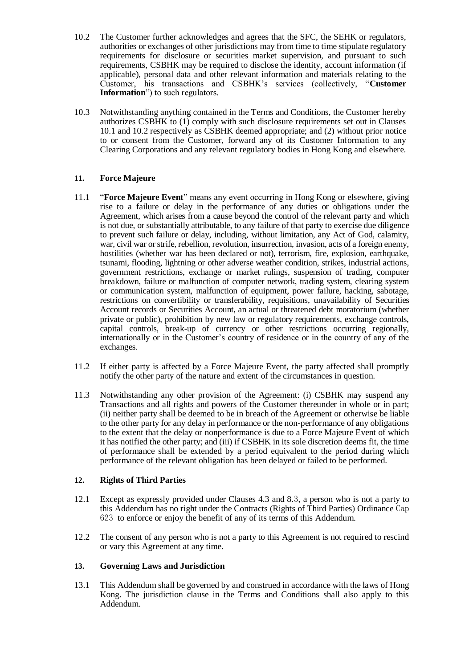- 10.2 The Customer further acknowledges and agrees that the SFC, the SEHK or regulators, authorities or exchanges of other jurisdictions may from time to time stipulate regulatory requirements for disclosure or securities market supervision, and pursuant to such requirements, CSBHK may be required to disclose the identity, account information (if applicable), personal data and other relevant information and materials relating to the Customer, his transactions and CSBHK's services (collectively, "**Customer Information**") to such regulators.
- 10.3 Notwithstanding anything contained in the Terms and Conditions, the Customer hereby authorizes CSBHK to (1) comply with such disclosure requirements set out in Clauses 10.1 and 10.2 respectively as CSBHK deemed appropriate; and (2) without prior notice to or consent from the Customer, forward any of its Customer Information to any Clearing Corporations and any relevant regulatory bodies in Hong Kong and elsewhere.

# **11. Force Majeure**

- 11.1 "**Force Majeure Event**" means any event occurring in Hong Kong or elsewhere, giving rise to a failure or delay in the performance of any duties or obligations under the Agreement, which arises from a cause beyond the control of the relevant party and which is not due, or substantially attributable, to any failure of that party to exercise due diligence to prevent such failure or delay, including, without limitation, any Act of God, calamity, war, civil war or strife, rebellion, revolution, insurrection, invasion, acts of a foreign enemy, hostilities (whether war has been declared or not), terrorism, fire, explosion, earthquake, tsunami, flooding, lightning or other adverse weather condition, strikes, industrial actions, government restrictions, exchange or market rulings, suspension of trading, computer breakdown, failure or malfunction of computer network, trading system, clearing system or communication system, malfunction of equipment, power failure, hacking, sabotage, restrictions on convertibility or transferability, requisitions, unavailability of Securities Account records or Securities Account, an actual or threatened debt moratorium (whether private or public), prohibition by new law or regulatory requirements, exchange controls, capital controls, break-up of currency or other restrictions occurring regionally, internationally or in the Customer's country of residence or in the country of any of the exchanges.
- 11.2 If either party is affected by a Force Majeure Event, the party affected shall promptly notify the other party of the nature and extent of the circumstances in question.
- 11.3 Notwithstanding any other provision of the Agreement: (i) CSBHK may suspend any Transactions and all rights and powers of the Customer thereunder in whole or in part; (ii) neither party shall be deemed to be in breach of the Agreement or otherwise be liable to the other party for any delay in performance or the non-performance of any obligations to the extent that the delay or nonperformance is due to a Force Majeure Event of which it has notified the other party; and (iii) if CSBHK in its sole discretion deems fit, the time of performance shall be extended by a period equivalent to the period during which performance of the relevant obligation has been delayed or failed to be performed.

## **12. Rights of Third Parties**

- 12.1 Except as expressly provided under Clauses 4.3 and 8.3, a person who is not a party to this Addendum has no right under the Contracts (Rights of Third Parties) Ordinance Cap 623 to enforce or enjoy the benefit of any of its terms of this Addendum.
- 12.2 The consent of any person who is not a party to this Agreement is not required to rescind or vary this Agreement at any time.

## **13. Governing Laws and Jurisdiction**

13.1 This Addendum shall be governed by and construed in accordance with the laws of Hong Kong. The jurisdiction clause in the Terms and Conditions shall also apply to this Addendum.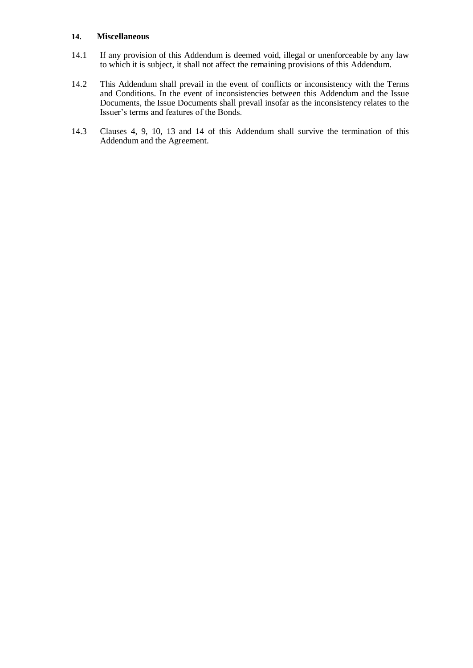#### **14. Miscellaneous**

- 14.1 If any provision of this Addendum is deemed void, illegal or unenforceable by any law to which it is subject, it shall not affect the remaining provisions of this Addendum.
- 14.2 This Addendum shall prevail in the event of conflicts or inconsistency with the Terms and Conditions. In the event of inconsistencies between this Addendum and the Issue Documents, the Issue Documents shall prevail insofar as the inconsistency relates to the Issuer's terms and features of the Bonds.
- 14.3 Clauses 4, 9, 10, 13 and 14 of this Addendum shall survive the termination of this Addendum and the Agreement.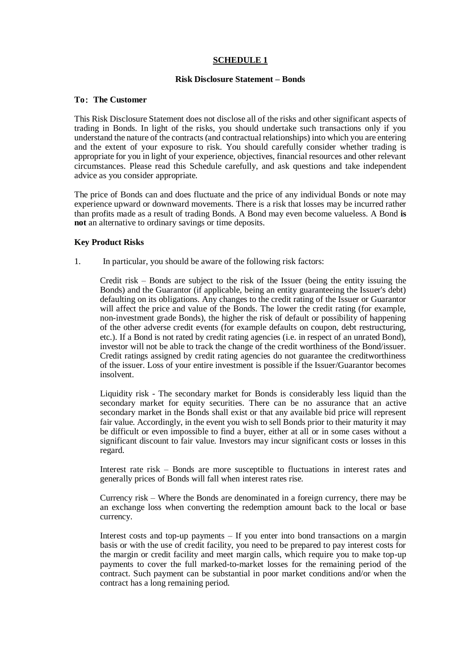# **SCHEDULE 1**

## **Risk Disclosure Statement – Bonds**

## **To**: **The Customer**

This Risk Disclosure Statement does not disclose all of the risks and other significant aspects of trading in Bonds. In light of the risks, you should undertake such transactions only if you understand the nature of the contracts (and contractual relationships) into which you are entering and the extent of your exposure to risk. You should carefully consider whether trading is appropriate for you in light of your experience, objectives, financial resources and other relevant circumstances. Please read this Schedule carefully, and ask questions and take independent advice as you consider appropriate.

The price of Bonds can and does fluctuate and the price of any individual Bonds or note may experience upward or downward movements. There is a risk that losses may be incurred rather than profits made as a result of trading Bonds. A Bond may even become valueless. A Bond **is not** an alternative to ordinary savings or time deposits.

## **Key Product Risks**

1. In particular, you should be aware of the following risk factors:

Credit risk – Bonds are subject to the risk of the Issuer (being the entity issuing the Bonds) and the Guarantor (if applicable, being an entity guaranteeing the Issuer's debt) defaulting on its obligations. Any changes to the credit rating of the Issuer or Guarantor will affect the price and value of the Bonds. The lower the credit rating (for example, non-investment grade Bonds), the higher the risk of default or possibility of happening of the other adverse credit events (for example defaults on coupon, debt restructuring, etc.). If a Bond is not rated by credit rating agencies (i.e. in respect of an unrated Bond), investor will not be able to track the change of the credit worthiness of the Bond/issuer. Credit ratings assigned by credit rating agencies do not guarantee the creditworthiness of the issuer. Loss of your entire investment is possible if the Issuer/Guarantor becomes insolvent.

Liquidity risk - The secondary market for Bonds is considerably less liquid than the secondary market for equity securities. There can be no assurance that an active secondary market in the Bonds shall exist or that any available bid price will represent fair value. Accordingly, in the event you wish to sell Bonds prior to their maturity it may be difficult or even impossible to find a buyer, either at all or in some cases without a significant discount to fair value. Investors may incur significant costs or losses in this regard.

Interest rate risk – Bonds are more susceptible to fluctuations in interest rates and generally prices of Bonds will fall when interest rates rise.

Currency risk – Where the Bonds are denominated in a foreign currency, there may be an exchange loss when converting the redemption amount back to the local or base currency.

Interest costs and top-up payments – If you enter into bond transactions on a margin basis or with the use of credit facility, you need to be prepared to pay interest costs for the margin or credit facility and meet margin calls, which require you to make top-up payments to cover the full marked-to-market losses for the remaining period of the contract. Such payment can be substantial in poor market conditions and/or when the contract has a long remaining period.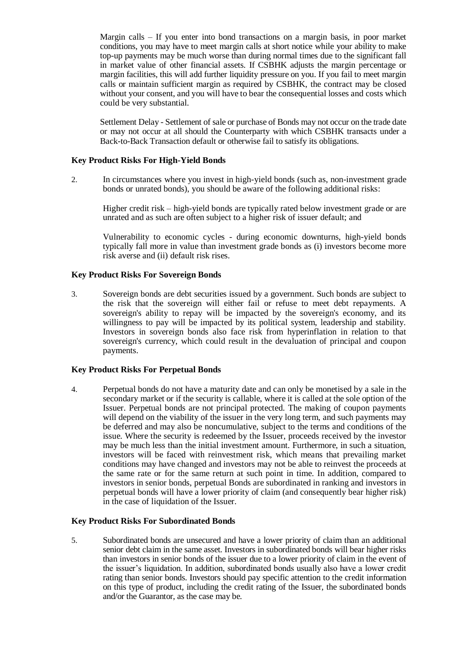Margin calls – If you enter into bond transactions on a margin basis, in poor market conditions, you may have to meet margin calls at short notice while your ability to make top-up payments may be much worse than during normal times due to the significant fall in market value of other financial assets. If CSBHK adjusts the margin percentage or margin facilities, this will add further liquidity pressure on you. If you fail to meet margin calls or maintain sufficient margin as required by CSBHK, the contract may be closed without your consent, and you will have to bear the consequential losses and costs which could be very substantial.

Settlement Delay - Settlement of sale or purchase of Bonds may not occur on the trade date or may not occur at all should the Counterparty with which CSBHK transacts under a Back-to-Back Transaction default or otherwise fail to satisfy its obligations.

#### **Key Product Risks For High-Yield Bonds**

2. In circumstances where you invest in high-yield bonds (such as, non-investment grade bonds or unrated bonds), you should be aware of the following additional risks:

Higher credit risk – high-yield bonds are typically rated below investment grade or are unrated and as such are often subject to a higher risk of issuer default; and

Vulnerability to economic cycles - during economic downturns, high-yield bonds typically fall more in value than investment grade bonds as (i) investors become more risk averse and (ii) default risk rises.

#### **Key Product Risks For Sovereign Bonds**

3. Sovereign bonds are debt securities issued by a government. Such bonds are subject to the risk that the sovereign will either fail or refuse to meet debt repayments. A sovereign's ability to repay will be impacted by the sovereign's economy, and its willingness to pay will be impacted by its political system, leadership and stability. Investors in sovereign bonds also face risk from hyperinflation in relation to that sovereign's currency, which could result in the devaluation of principal and coupon payments.

#### **Key Product Risks For Perpetual Bonds**

4. Perpetual bonds do not have a maturity date and can only be monetised by a sale in the secondary market or if the security is callable, where it is called at the sole option of the Issuer. Perpetual bonds are not principal protected. The making of coupon payments will depend on the viability of the issuer in the very long term, and such payments may be deferred and may also be noncumulative, subject to the terms and conditions of the issue. Where the security is redeemed by the Issuer, proceeds received by the investor may be much less than the initial investment amount. Furthermore, in such a situation, investors will be faced with reinvestment risk, which means that prevailing market conditions may have changed and investors may not be able to reinvest the proceeds at the same rate or for the same return at such point in time. In addition, compared to investors in senior bonds, perpetual Bonds are subordinated in ranking and investors in perpetual bonds will have a lower priority of claim (and consequently bear higher risk) in the case of liquidation of the Issuer.

#### **Key Product Risks For Subordinated Bonds**

5. Subordinated bonds are unsecured and have a lower priority of claim than an additional senior debt claim in the same asset. Investors in subordinated bonds will bear higher risks than investors in senior bonds of the issuer due to a lower priority of claim in the event of the issuer's liquidation. In addition, subordinated bonds usually also have a lower credit rating than senior bonds. Investors should pay specific attention to the credit information on this type of product, including the credit rating of the Issuer, the subordinated bonds and/or the Guarantor, as the case may be.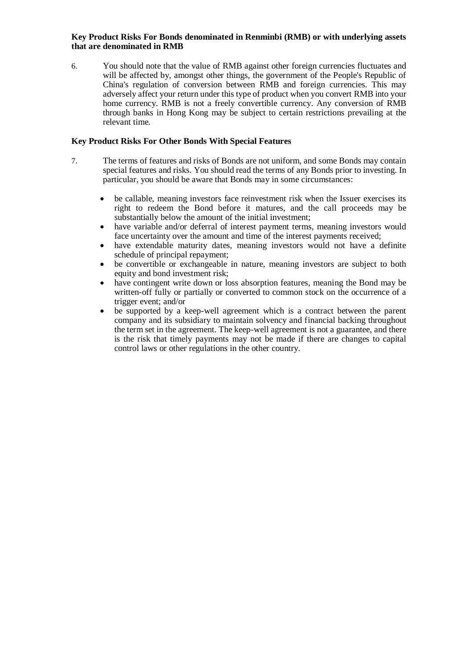### **Key Product Risks For Bonds denominated in Renminbi (RMB) or with underlying assets that are denominated in RMB**

6. You should note that the value of RMB against other foreign currencies fluctuates and will be affected by, amongst other things, the government of the People's Republic of China's regulation of conversion between RMB and foreign currencies. This may adversely affect your return under this type of product when you convert RMB into your home currency. RMB is not a freely convertible currency. Any conversion of RMB through banks in Hong Kong may be subject to certain restrictions prevailing at the relevant time.

## **Key Product Risks For Other Bonds With Special Features**

- 7. The terms of features and risks of Bonds are not uniform, and some Bonds may contain special features and risks. You should read the terms of any Bonds prior to investing. In particular, you should be aware that Bonds may in some circumstances:
	- be callable, meaning investors face reinvestment risk when the Issuer exercises its right to redeem the Bond before it matures, and the call proceeds may be substantially below the amount of the initial investment;
	- have variable and/or deferral of interest payment terms, meaning investors would face uncertainty over the amount and time of the interest payments received;
	- have extendable maturity dates, meaning investors would not have a definite schedule of principal repayment;
	- be convertible or exchangeable in nature, meaning investors are subject to both equity and bond investment risk;
	- have contingent write down or loss absorption features, meaning the Bond may be written-off fully or partially or converted to common stock on the occurrence of a trigger event; and/or
	- be supported by a keep-well agreement which is a contract between the parent company and its subsidiary to maintain solvency and financial backing throughout the term set in the agreement. The keep-well agreement is not a guarantee, and there is the risk that timely payments may not be made if there are changes to capital control laws or other regulations in the other country.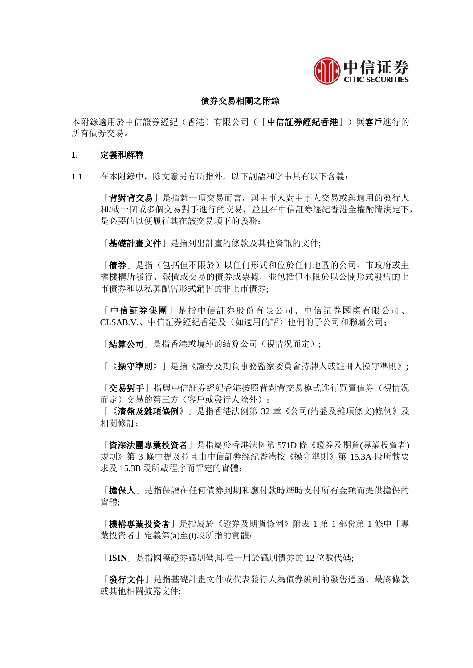

# 債券交易相關之附錄

本附錄適用於中信證券經紀(香港)有限公司(「中信証券經紀香港」)與客戶進行的 所有債券交易。

### **1.** 定義和解釋

1.1 在本附錄中,除文意另有所指外,以下詞語和字串具有以下含義:

「背對背交易」是指就一項交易而言,與主事人對主事人交易或與適用的發行人 和/或一個或多個交易對手進行的交易,並且在中信証券經紀香港全權酌情決定下, 是必要的以便履行其在該交易項下的義務;

「基礎計畫文件」是指列出計畫的條款及其他資訊的文件;

「債券」是指(包括但不限於)以任何形式和位於任何地區的公司、市政府或主 權機構所發行、報價或交易的債券或票據,並包括但不限於以公開形式發售的上 市債券和以私募配售形式銷售的非上市債券;

「中信証券集團」是指中信証券股份有限公司、中信証券國際有限公司、 CLSAB.V.、中信証券經紀香港及(如適用的話)他們的子公司和聯屬公司;

「結算公司」是指香港或境外的結算公司(視情況而定);

「《操守準則》」是指《證券及期貨事務監察委員會持牌人或註冊人操守準則》;

「交易對手」指與中信証券經紀香港按照背對背交易模式進行買賣債券(視情況 而定)交易的第三方(客戶或發行人除外);

「《清盤及雜項條例》」是指香港法例第 32 章《公司(清盤及雜項條文)條例》及 相關修訂;

「資深法團專業投資者」是指屬於香港法例第 571D 條《證券及期貨(專業投資者) 規則》第 3 條中提及並且由中信証劵經紀香港按《操守準則》第 15.3A 段所載要 求及 15.3B 段所載程序而評定的實體;

「擔保人」是指保證在任何債券到期和應付款時準時支付所有金額而提供擔保的 實體;

「機構專業投資者」是指屬於《證券及期貨條例》附表 1 第 1 部份第 1 條中「專 業投資者」定義第(a)至(i)段所指的實體;

「**ISIN**」是指國際證券識別碼,即唯一用於識別債券的 12 位數代碼;

「發行文件」是指基礎計畫文件或代表發行人為債券編制的發售通函、最終條款 或其他相關披露文件;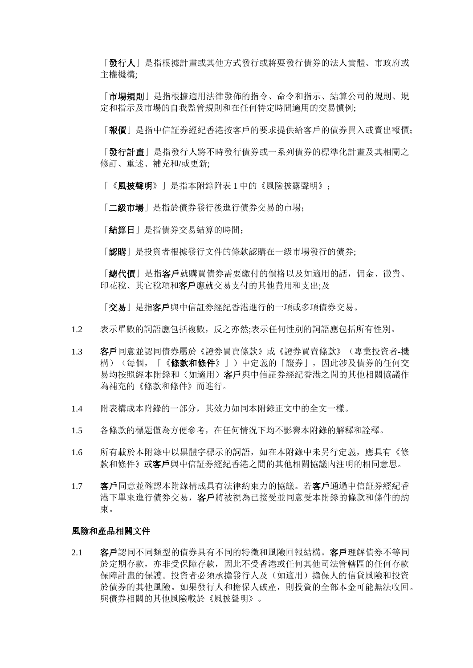「發行人」是指根據計畫或其他方式發行或將要發行債券的法人實體、市政府或 主權機構;

「市場規則」是指根據適用法律發佈的指令、命令和指示、結算公司的規則、規 定和指示及市場的自我監管規則和在任何特定時間適用的交易慣例;

「報價」是指中信証券經紀香港按客戶的要求提供給客戶的債券買入或賣出報價;

「發行計畫」是指發行人將不時發行債券或一系列債券的標準化計畫及其相關之 修訂、重述、補充和/或更新;

「《風披聲明》」是指本附錄附表 1 中的《風險披露聲明》;

「二級市場」是指於債券發行後進行債券交易的市場;

「結算日」是指債券交易結算的時間;

[認購 | 是投資者根據發行文件的條款認購在一級市場發行的債券;

[總代價」是指客戶就購買債券需要繳付的價格以及如適用的話,佣金、徵費、 印花稅、其它稅項和客戶應就交易支付的其他費用和支出;及

「交易」是指客戶與中信証券經紀香港進行的一項或多項債券交易。

- 1.2 表示單數的詞語應包括複數,反之亦然;表示任何性別的詞語應包括所有性別。
- 1.3 客戶同意並認同債券屬於《證券買賣條款》或《證券買賣條款》(專業投資者-機 構)(每個,「《條款和條件》」)中定義的「證券」,因此涉及債券的任何交 易均按照經本附錄和(如適用)**客戶**與中信証券經紀香港之間的其他相關協議作 為補充的《條款和條件》而進行。
- 1.4 附表構成本附錄的一部分,其效力如同本附錄正文中的全文一樣。
- 1.5 各條款的標題僅為方便參考,在任何情況下均不影響本附錄的解釋和詮釋。
- 1.6 所有載於本附錄中以黒體字標示的詞語,如在本附錄中未另行定義,應具有《條 款和條件》或客戶與中信証券經紀香港之間的其他相關協議內注明的相同意思。
- 1.7 客戶同意並確認本附錄構成具有法律約束力的協議。若客戶通過中信証券經紀香 港下單來進行債券交易,客戶將被視為已接受並同意受本附錄的條款和條件的約 束。

#### 風險和產品相關文件

2.1 客戶認同不同類型的債券具有不同的特徵和風險回報結構。客戶理解債券不等同 於定期存款,亦非受保障存款,因此不受香港或任何其他司法管轄區的任何存款 保障計畫的保護。投資者必須承擔發行人及(如適用)擔保人的信貸風險和投資 於債券的其他風險。如果發行人和擔保人破產,則投資的全部本金可能無法收回。 與債券相關的其他風險載於《風披聲明》。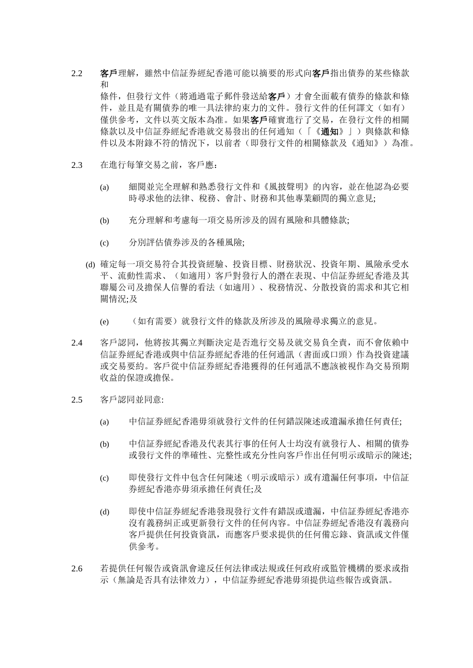# 2.2 客戶理解,雖然中信証券經紀香港可能以摘要的形式向客戶指出債券的某些條款 和

條件, 但發行文件(將通過電子郵件發送給客戶)才會全面載有債券的條款和條 件,並且是有關債券的唯一具法律約束力的文件。發行文件的任何譯文(如有) 僅供參考,文件以英文版本為准。如果客戶確實進行了交易,在發行文件的相關 條款以及中信証券經紀香港就交易發出的任何通知(「《通知》」)與條款和條 件以及本附錄不符的情況下,以前者(即發行文件的相關條款及《通知》)為准。

- 2.3 在進行每筆交易之前,客戶應:
	- (a) 細閱並完全理解和熟悉發行文件和《風披聲明》的內容,並在他認為必要 時尋求他的法律、稅務、會計、財務和其他專業顧問的獨立意見;
	- (b) 充分理解和考慮每一項交易所涉及的固有風險和具體條款;
	- (c) 分別評估債券涉及的各種風險;
	- (d) 確定每一項交易符合其投資經驗、投資目標、財務狀況、投資年期、風險承受水 平、流動性需求、(如適用)客戶對發行人的潛在表現、中信証券經紀香港及其 聯屬公司及擔保人信譽的看法(如適用)、稅務情況、分散投資的需求和其它相 關情況:及
		- (e) (如有需要)就發行文件的條款及所涉及的風險尋求獨立的意見。
- 2.4 客戶認同,他將按其獨立判斷決定是否進行交易及就交易負全責,而不會依賴中 信証券經紀香港或與中信証券經紀香港的任何通訊(書面或口頭)作為投資建議 或交易要約。客戶從中信証券經紀香港獲得的任何通訊不應該被視作為交易預期 收益的保證或擔保。
- 2.5 客戶認同並同意:
	- (a) 中信証券經紀香港毋須就發行文件的任何錯誤陳述或遺漏承擔任何責任;
	- (b) 中信証券經紀香港及代表其行事的任何人士均沒有就發行人、相關的債券 或發行文件的準確性、完整性或充分性向客戶作出任何明示或暗示的陳述;
	- (c) 即使發行文件中包含任何陳述(明示或暗示)或有遺漏任何事項,中信証 券經紀香港亦毋須承擔任何責任;及
	- (d) 即使中信証券經紀香港發現發行文件有錯誤或遺漏,中信証券經紀香港亦 沒有義務糾正或更新發行文件的任何內容。中信証券經紀香港沒有義務向 客戶提供任何投資資訊,而應客戶要求提供的任何備忘錄、資訊或文件僅 供參考。
- 2.6 若提供任何報告或資訊會違反任何法律或法規或任何政府或監管機構的要求或指 示(無論是否具有法律效力),中信証券經紀香港毋須提供這些報告或資訊。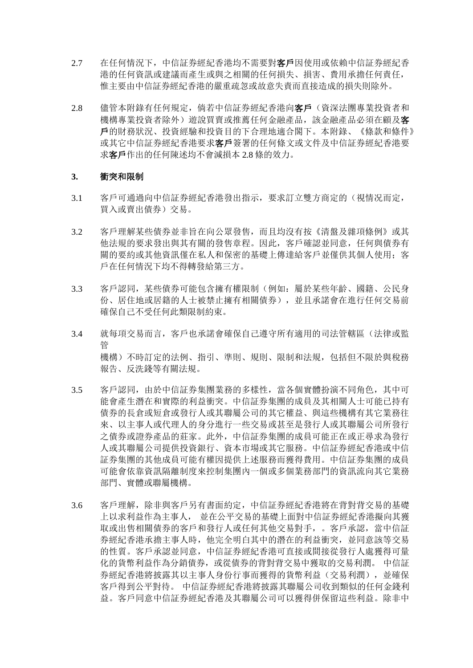- 2.7 在任何情況下,中信証券經紀香港均不需要對客戶因使用或依賴中信証券經紀香 港的任何資訊或建議而產生或與之相關的任何損失、損害、費用承擔任何責任, 惟主要由中信証券經紀香港的嚴重疏忽或故意失責而直接造成的損失則除外。
- 2.8 儘管本附錄有任何規定,倘若中信証券經紀香港向客戶(資深法團專業投資者和 機構專業投資者除外) 游說買賣或推薦任何金融產品, 該金融產品必須在顧及客 戶的財務狀況、投資經驗和投資目的下合理地適合閣下。本附錄、《條款和條件》 或其它中信証券經紀香港要求客戶簽署的任何條文或文件及中信証券經紀香港要 求客戶作出的任何陳述均不會減損本 2.8 條的效力。

#### **3.** 衝突和限制

- 3.1 客戶可通過向中信証券經紀香港發出指示,要求訂立雙方商定的(視情况而定, 買入或賣出債券)交易。
- 3.2 客戶理解某些債券並非旨在向公眾發售,而且均沒有按《清盤及雜項條例》或其 他法規的要求發出與其有關的發售章程。因此,客戶確認並同意,任何與債券有 關的要約或其他資訊僅在私人和保密的基礎上傳達給客戶並僅供其個人使用;客 戶在任何情況下均不得轉發給第三方。
- 3.3 客戶認同,某些債券可能包含擁有權限制(例如:屬於某些年齡、國籍、公民身 份、居住地或居籍的人士被禁止擁有相關債券),並且承諾會在進行任何交易前 確保自己不受任何此類限制約束。
- 3.4 就每項交易而言,客戶也承諾會確保自己遵守所有適用的司法管轄區(法律或監 管 機構)不時訂定的法例、指引、準則、規則、限制和法規,包括但不限於與稅務 報告、反洗錢等有關法規。
- 3.5 客戶認同,由於中信証券集團業務的多樣性,當各個實體扮演不同角色,其中可 能會產生潛在和實際的利益衝突。中信証券集團的成員及其相關人士可能已持有 債券的長倉或短倉或發行人或其聯屬公司的其它權益、與這些機構有其它業務往 來、以主事人或代理人的身分進行一些交易或甚至是發行人或其聯屬公司所發行 之債券或證券產品的莊家。此外,中信証券集團的成員可能正在或正尋求為發行 人或其聯屬公司提供投資銀行、資本市場或其它服務。中信証券經紀香港或中信 証券集團的其他成員可能有權因提供上述服務而獲得費用。中信証券集團的成員 可能會依靠資訊隔離制度來控制集團內一個或多個業務部門的資訊流向其它業務 部門、實體或聯屬機構。
- 3.6 客戶理解,除非與客戶另有書面約定,中信証券經紀香港將在背對背交易的基礎 上以求利益作為主事人, 並在公平交易的基礎上面對中信証券經紀香港擬向其獲 取或出售相關債券的客戶和發行人或任何其他交易對手,。客戶承認,當中信証 券經紀香港承擔主事人時,他完全明白其中的潛在的利益衝突,並同意該等交易 的性質。客戶承認並同意,中信証券經紀香港可直接或間接從發行人處獲得可量 化的貨幣利益作為分銷債券,或從債券的背對背交易中獲取的交易利潤。 中信証 券經紀香港將披露其以主事人身份行事而獲得的貨幣利益(交易利潤),並確保 客戶得到公平對待。 中信証券經紀香港將披露其聯屬公司收到類似的任何金錢利 益。客戶同意中信証券經紀香港及其聯屬公司可以獲得併保留這些利益。除非中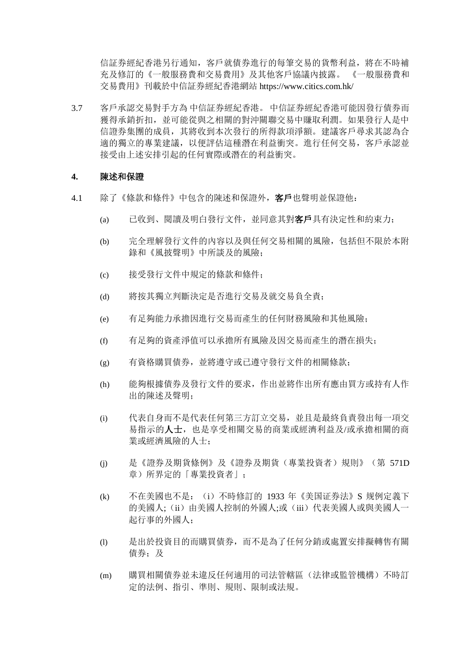信証券經紀香港另行通知,客戶就債券進行的每筆交易的貨幣利益,將在不時補 充及修訂的《一般服務費和交易費用》及其他客戶協議內披露。 《一般服務費和 交易費用》刊載於中信証券經紀香港網站 https://www.citics.com.hk/

3.7 客戶承認交易對手方為 中信証券經紀香港。 中信証券經紀香港可能因發行債券而 獲得承銷折扣,並可能從與之相關的對沖關聯交易中賺取利潤。如果發行人是中 信證券集團的成員,其將收到本次發行的所得款項淨額。建議客戶尋求其認為合 適的獨立的專業建議,以便評估這種潛在利益衝突。進行任何交易,客戶承認並 接受由上述安排引起的任何實際或潛在的利益衝突。

#### **4.** 陳述和保證

- 4.1 除了《條款和條件》中包含的陳述和保證外, 客戶也聲明並保證他:
	- (a) 已收到、閱讀及明白發行文件,並同意其對客戶具有決定性和約束力;
	- (b) 完全理解發行文件的內容以及與任何交易相關的風險,包括但不限於本附 錄和《風披聲明》中所談及的風險;
	- (c) 接受發行文件中規定的條款和條件;
	- (d) 將按其獨立判斷決定是否進行交易及就交易負全責;
	- (e) 有足夠能力承擔因進行交易而產生的任何財務風險和其他風險;
	- (f) 有足夠的資產淨值可以承擔所有風險及因交易而產生的潛在損失;
	- (g) 有資格購買債券,並將遵守或已遵守發行文件的相關條款;
	- (h) 能夠根據債券及發行文件的要求,作出並將作出所有應由買方或持有人作 出的陳述及聲明;
	- (i) 代表自身而不是代表任何第三方訂立交易,並且是最終負責發出每一項交 易指示的人士,也是享受相關交易的商業或經濟利益及/或承擔相關的商 業或經濟風險的人士;
	- (j) 是《證券及期貨條例》及《證券及期貨(專業投資者)規則》(第 571D 章)所界定的「專業投資者」;
	- (k) 不在美國也不是:(i)不時修訂的 1933 年《美国证券法》S 规例定義下 的美國人;(ii)由美國人控制的外國人;或(iii)代表美國人或與美國人一 起行事的外國人;
	- (l) 是出於投資目的而購買債券,而不是為了任何分銷或處置安排擬轉售有關 債券: 及
	- (m) 購買相關債券並未違反任何適用的司法管轄區(法律或監管機構)不時訂 定的法例、指引、準則、規則、限制或法規。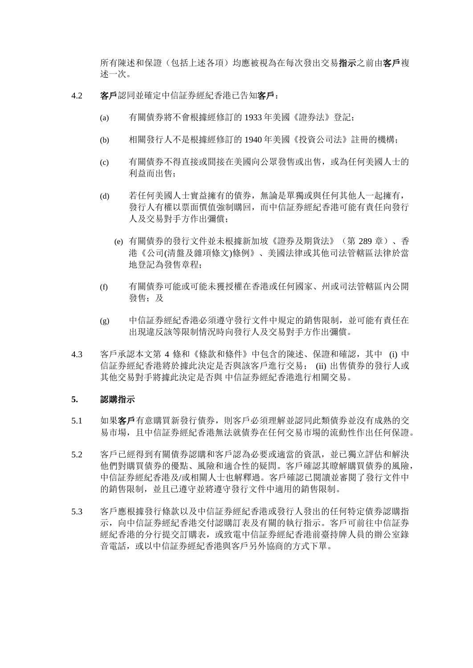所有陳述和保證(包括上述各項)均應被視為在每次發出交易指示之前由客戶複 述一次。

- 4.2 客戶認同並確定中信証券經紀香港已告知客戶:
	- (a) 有關債券將不會根據經修訂的 1933 年美國《證券法》登記;
	- (b) 相關發行人不是根據經修訂的 1940 年美國《投資公司法》註冊的機構;
	- (c) 有關債券不得直接或間接在美國向公眾發售或出售,或為任何美國人士的 利益而出售;
	- (d) 若任何美國人士實益擁有的債券,無論是單獨或與任何其他人一起擁有, 發行人有權以票面價值強制購回,而中信証券經紀香港可能有責任向發行 人及交易對手方作出彌償;
		- (e) 有關債券的發行文件並未根據新加坡《證券及期貨法》(第 289 章)、香 港《公司(清盤及雜項條文)條例》、美國法律或其他司法管轄區法律於當 地登記為發售章程;
	- (f) 有關債券可能或可能未獲授權在香港或任何國家、州或司法管轄區內公開 發售: 及
	- (g) 中信証券經紀香港必須遵守發行文件中規定的銷售限制,並可能有責任在 出現違反該等限制情況時向發行人及交易對手方作出彌償。
- 4.3 客戶承認本文第 4 條和《條款和條件》中包含的陳述、保證和確認,其中 (i) 中 信証券經紀香港將於據此決定是否與該客戶進行交易; (ii) 出售債券的發行人或 其他交易對手將據此決定是否與 中信証券經紀香港進行相關交易。

### **5.** 認購指示

- 5.1 如果客戶有意購買新發行債券,則客戶必須理解並認同此類債券並沒有成熟的交 易市場,且中信証券經紀香港無法就債券在任何交易市場的流動性作出任何保證。
- 5.2 客戶已經得到有關債券認購和客戶認為必要或適當的資訊,並已獨立評估和解決 他們對購買債券的優點、風險和適合性的疑問。客戶確認其瞭解購買債券的風險, 中信証券經紀香港及/或相關人士也解釋過。客戶確認已閱讀並審閱了發行文件中 的銷售限制,並且已遵守並將遵守發行文件中適用的銷售限制。
- 5.3 客戶應根據發行條款以及中信証券經紀香港或發行人發出的任何特定債券認購指 示,向中信証券經紀香港交付認購訂表及有關的執行指示。客戶可前往中信証券 經紀香港的分行提交訂購表,或致電中信証券經紀香港前臺持牌人員的辦公室錄 音電話,或以中信証券經紀香港與客戶另外協商的方式下單。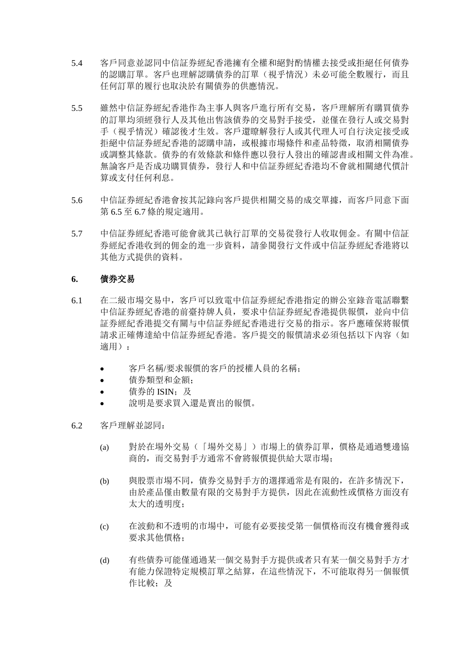- 5.4 客戶同意並認同中信証券經紀香港擁有全權和絕對酌情權去接受或拒絕任何債券 的認購訂單。客戶也理解認購債券的訂單(視乎情況)未必可能全數履行,而且 任何訂單的履行也取決於有關債券的供應情況。
- 5.5 雖然中信証券經紀香港作為主事人與客戶進行所有交易,客戶理解所有購買債券 的訂單均須經發行人及其他出售該債券的交易對手接受,並僅在發行人或交易對 手(視乎情況)確認後才生效。客戶還瞭解發行人或其代理人可自行決定接受或 拒絕中信証券經紀香港的認購申請,或根據市場條件和產品特徵,取消相關債券 或調整其條款。債券的有效條款和條件應以發行人發出的確認書或相關文件為准。 無論客戶是否成功購買債券,發行人和中信証券經紀香港均不會就相關總代價計 算或支付任何利息。
- 5.6 中信証券經紀香港會按其記錄向客戶提供相關交易的成交單據,而客戶同意下面 第 6.5 至 6.7 條的規定適用。
- 5.7 中信証券經紀香港可能會就其已執行訂單的交易從發行人收取佣金。有關中信証 券經紀香港收到的佣金的進一步資料,請參閱發行文件或中信証券經紀香港將以 其他方式提供的資料。

# **6.** 債券交易

- 6.1 在二級市場交易中,客戶可以致電中信証券經紀香港指定的辦公室錄音電話聯繫 中信証券經紀香港的前臺持牌人員,要求中信証券經紀香港提供報價,並向中信 証券經紀香港提交有關与中信証券經紀香港进行交易的指示。客戶應確保將報價 請求正確傳達給中信証券經紀香港。客戶提交的報價請求必須包括以下內容(如 適用):
	- 客戶名稱/要求報價的客戶的授權人員的名稱;
	- 債券類型和金額;
	- 債券的 ISIN: 及
	- 說明是要求買入還是賣出的報價。
- 6.2 客戶理解並認同:
	- (a) 對於在場外交易(「場外交易」)市場上的債券訂單,價格是通過雙邊協 商的,而交易對手方通常不會將報價提供給大眾市場;
	- (b) 與股票市場不同,債券交易對手方的選擇通常是有限的,在許多情況下, 由於產品僅由數量有限的交易對手方提供,因此在流動性或價格方面沒有 太大的透明度;
	- (c) 在波動和不透明的市場中,可能有必要接受第一個價格而沒有機會獲得或 要求其他價格;
	- (d) 有些債券可能僅通過某一個交易對手方提供或者只有某一個交易對手方才 有能力保證特定規模訂單之結算,在這些情況下,不可能取得另一個報價 作比較;及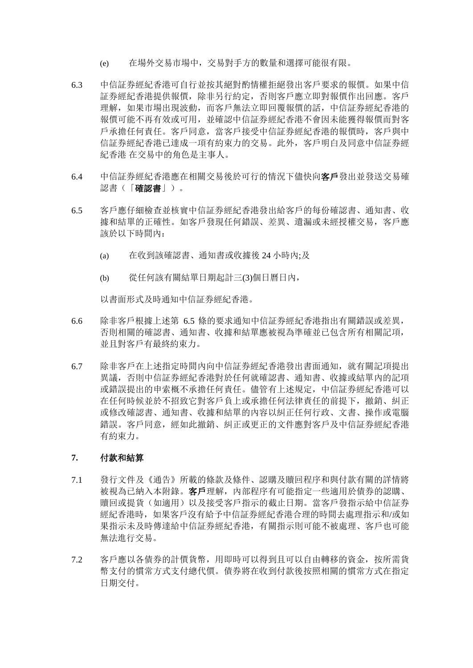- (e) 在場外交易市場中,交易對手方的數量和選擇可能很有限。
- 6.3 中信証券經紀香港可自行並按其絕對酌情權拒絕發出客戶要求的報價。如果中信 証券經紀香港提供報價,除非另行約定,否則客戶應立即對報價作出回應。客戶 理解,如果市場出現波動,而客戶無法立即回覆報價的話,中信証券經紀香港的 報價可能不再有效或可用,並確認中信証券經紀香港不會因未能獲得報價而對客 戶承擔任何責任。客戶同意,當客戶接受中信証券經紀香港的報價時,客戶與中 信証券經紀香港已達成一項有約束力的交易。此外,客戶明白及同意中信証券經 紀香港 在交易中的角色是主事人。
- 6.4 中信証券經紀香港應在相關交易後於可行的情況下儘快向客戶發出並發送交易確 認書(「確認書」)。
- 6.5 客戶應仔細檢查並核實中信証券經紀香港發出給客戶的每份確認書、通知書、收 據和結單的正確性。如客戶發現任何錯誤、差異、遺漏或未經授權交易,客戶應 該於以下時間內:
	- (a) 在收到該確認書、通知書或收據後 24 小時內;及
	- (b) 從任何該有關結單日期起計三(3)個日曆日內,

以書面形式及時通知中信証券經紀香港。

- 6.6 除非客戶根據上述第 6.5 條的要求通知中信証券經紀香港指出有關錯誤或差異, 否則相關的確認書、通知書、收據和結單應被視為準確並已包含所有相關記項, 並且對客戶有最終約束力。
- 6.7 除非客戶在上述指定時間內向中信証券經紀香港發出書面通知,就有關記項提出 異議,否則中信証券經紀香港對於任何就確認書、通知書、收據或結單內的記項 或錯誤提出的申索概不承擔任何責任。儘管有上述規定,中信証券經紀香港可以 在任何時候並於不招致它對客戶負上或承擔任何法律責任的前提下,撤銷、糾正 或修改確認書、通知書、收據和結單的內容以糾正任何行政、文書、操作或電腦 錯誤。客戶同意,經如此撤銷、糾正或更正的文件應對客戶及中信証券經紀香港 有約束力。

# **7.** 付款和結算

- 7.1 發行文件及《通告》所載的條款及條件、認購及贖回程序和與付款有關的詳情將 被視為已納入本附錄。客戶理解,內部程序有可能指定一些適用於債券的認購、 贖回或提貨(如適用)以及接受客戶指示的截止日期。當客戶發指示給中信証券 經紀香港時,如果客戶沒有給予中信証券經紀香港合理的時間去處理指示和/或如 果指示未及時傳達給中信証券經紀香港,有關指示則可能不被處理、客戶也可能 無法進行交易。
- 7.2 客戶應以各債券的計價貨幣,用即時可以得到且可以自由轉移的資金,按所需貨 幣支付的慣常方式支付總代價。債券將在收到付款後按照相關的慣常方式在指定 日期交付。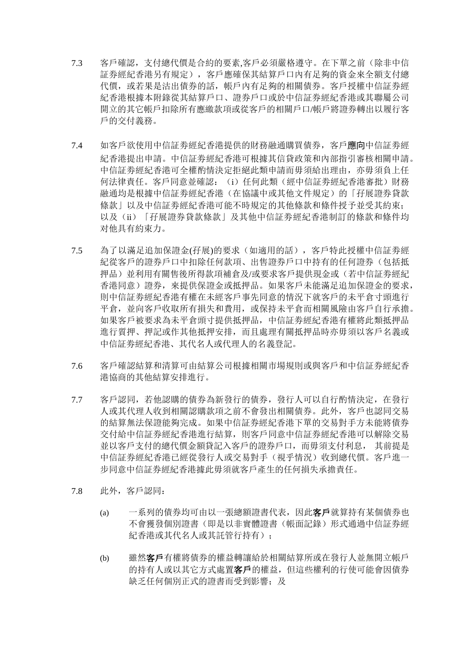- 7.3 客戶確認,支付總代價是合約的要素,客戶必須嚴格遵守。在下單之前(除非中信 証券經紀香港另有規定),客戶應確保其結算戶口內有足夠的資金來全額支付總 代價,或若果是沽出債券的話,帳戶內有足夠的相關債券。客戶授權中信証券經 紀香港根據本附錄從其結算戶口、證券戶口或於中信証券經紀香港或其聯屬公司 開立的其它帳戶扣除所有應繳款項或從客戶的相關戶口/帳戶將證券轉出以履行客 戶的交付義務。
- 7.4 如客戶欲使用中信証劵經紀香港提供的財務融通購買債券,客戶應向中信証劵經 紀香港提出申請。中信証劵經紀香港可根據其信貸政策和內部指引審核相關申請。 中信証劵經紀香港可全權酌情決定拒絕此類申請而毋須給出理由,亦毋須負上任 何法律責任。客戶同意並確認:(i)任何此類(經中信証劵經紀香港審批)財務 融通均是根據中信証劵經紀香港(在協議中或其他文件規定)的「孖展證券貸款 條款」以及中信証劵經紀香港可能不時規定的其他條款和條件授予並受其約束; 以及(ii)「孖展證券貸款條款」及其他中信証劵經紀香港制訂的條款和條件均 对他具有約束力。
- 7.5 為了以滿足追加保證金(孖展)的要求(如適用的話),客戶特此授權中信証劵經 紀從客戶的證券戶口中扣除任何款項、出售證券戶口中持有的任何證券(包括抵 押品)並利用有關售後所得款項補倉及/或要求客戶提供現金或(若中信証劵經紀 香港同意)證券,來提供保證金或抵押品。如果客戶未能滿足追加保證金的要求, 則中信証劵經紀香港有權在未經客戶事先同意的情況下就客戶的未平倉寸頭進行 平倉,並向客戶收取所有損失和費用,或保持未平倉而相關風險由客戶自行承擔。 如果客戶被要求為未平倉頭寸提供抵押品,中信証劵經紀香港有權將此類抵押品 進行質押、押記或作其他抵押安排,而且處理有關抵押品時亦毋須以客戶名義或 中信証劵經紀香港、其代名人或代理人的名義登記。
- 7.6 客戶確認結算和清算可由結算公司根據相關市場規則或與客戶和中信証券經紀香 港協商的其他結算安排進行。
- 7.7 客戶認同,若他認購的債券為新發行的債券,發行人可以自行酌情決定,在發行 人或其代理人收到相關認購款項之前不會發出相關債券。此外,客戶也認同交易 的結算無法保證能夠完成。如果中信証券經紀香港下單的交易對手方未能將債券 交付給中信証券經紀香港進行結算,則客戶同意中信証券經紀香港可以解除交易 並以客戶支付的總代價金額貸記入客戶的證券戶口,而毋須支付利息, 其前提是 中信証券經紀香港已經從發行人或交易對手(視乎情況)收到總代價。客戶進一 步同意中信証券經紀香港據此毋須就客戶產生的任何損失承擔責任。
- 7.8 此外,客戶認同:
	- (a) 一系列的債券均可由以一張總額證書代表,因此客戶就算持有某個債券也 不會獲發個別證書(即是以非實體證書(帳面記錄)形式通過中信証券經 紀香港或其代名人或其託管行持有):
	- (b) 雖然客戶有權將債券的權益轉讓給於相關結算所或在發行人並無開立帳戶 的持有人或以其它方式處置客戶的權益,但這些權利的行使可能會因債券 缺乏任何個別正式的證書而受到影響;及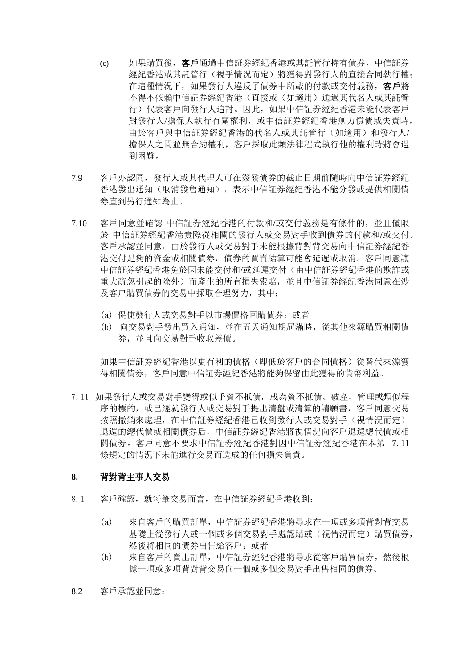- (c) 如果購買後, 客戶通過中信証券經紀香港或其託管行持有債券, 中信証券 經紀香港或其託管行(視乎情況而定)將獲得對發行人的直接合同執行權; 在這種情況下,如果發行人違反了債券中所載的付款或交付義務,客戶將 不得不依賴中信証券經紀香港(直接或(如適用)通過其代名人或其託管 行)代表客戶向發行人追討。因此,如果中信証券經紀香港未能代表客戶 對發行人/擔保人執行有關權利,或中信証券經紀香港無力償債或失責時, 由於客戶與中信証券經紀香港的代名人或其託管行(如適用)和發行人/ 擔保人之間並無合約權利,客戶採取此類法律程式執行他的權利時將會遇 到困難。
- 7.9 客戶亦認同,發行人或其代理人可在簽發債券的截止日期前隨時向中信証券經紀 香港發出通知(取消發售通知),表示中信証券經紀香港不能分發或提供相關債 券直到另行通知為止。
- 7.10 客戶同意並確認 中信証券經紀香港的付款和/或交付義務是有條件的,並且僅限 於 中信証券經紀香港實際從相關的發行人或交易對手收到債券的付款和/或交付。 客戶承認並同意,由於發行人或交易對手未能根據背對背交易向中信証券經紀香 港交付足夠的資金或相關債券,債券的買賣結算可能會延遲或取消。客戶同意讓 中信証券經紀香港免於因未能交付和/或延遲交付(由中信証券經紀香港的欺詐或 重大疏忽引起的除外)而產生的所有損失索賠,並且中信証券經紀香港同意在涉 及客户購買債券的交易中採取合理努力,其中:
	- (a) 促使發行人或交易對手以市場價格回購債券;或者
	- (b) 向交易對手發出買入通知,並在五天通知期屆滿時,從其他來源購買相關債 券,並且向交易對手收取差價。

如果中信証券經紀香港以更有利的價格(即低於客戶的合同價格)從替代來源獲 得相關債券,客戶同意中信証券經紀香港將能夠保留由此獲得的貨幣利益。

7.11 如果發行人或交易對手變得或似乎資不抵債,成為資不抵債、破產、管理或類似程 序的標的,或已經就發行人或交易對手提出清盤或清算的請願書,客戶同意交易 按照撤銷來處理,在中信証券經紀香港已收到發行人或交易對手(視情況而定) 退還的總代價或相關債券后,中信証券經紀香港將視情況向客戶退還總代價或相 關債券。客戶同意不要求中信証券經紀香港對因中信証券經紀香港在本第 7.11 條規定的情況下未能進行交易而造成的任何損失負責。

# **8.** 背對背主事人交易

- 8.1 客戶確認,就每筆交易而言,在中信証券經紀香港收到:
	- (a) 來自客戶的購買訂單,中信証券經紀香港將尋求在一項或多項背對背交易 基礎上從發行人或一個或多個交易對手處認購或(視情況而定)購買債券, 然後將相同的債券出售給客戶;或者
	- (b) 來自客戶的賣出訂單,中信証券經紀香港將尋求從客戶購買債券,然後根 據一項或多項背對背交易向一個或多個交易對手出售相同的債券。
- 8.2 客戶承認並同意: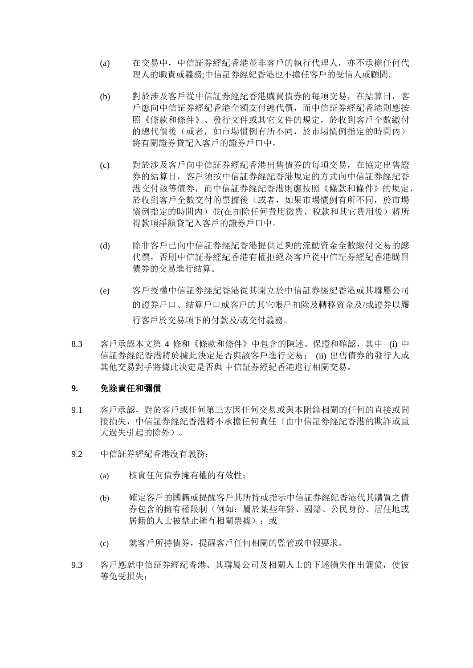- (a) 在交易中,中信証券經紀香港並非客戶的執行代理人,亦不承擔任何代 理人的職責或義務;中信証券經紀香港也不擔任客戶的受信人或顧問。
- (b) 對於涉及客戶從中信証券經紀香港購買債券的每項交易,在結算日,客 戶應向中信証券經紀香港全額支付總代價,而中信証券經紀香港則應按 照《條款和條件》、發行文件或其它文件的規定,於收到客戶全數繳付 的總代價後(或者,如市場慣例有所不同,於市場慣例指定的時間內) 將有關證券貸記入客戶的證券戶口中。
- (c) 對於涉及客戶向中信証券經紀香港出售債券的每項交易,在協定出售證 券的結算日,客戶須按中信証券經紀香港規定的方式向中信証券經紀香 港交付該等債券,而中信証券經紀香港則應按照《條款和條件》的規定, 於收到客戶全數交付的票據後(或者,如果市場慣例有所不同,於市場 慣例指定的時間內)並(在扣除任何費用徵費、稅款和其它費用後)將所 得款項淨額貸記入客戶的證券戶口中。
- (d) 除非客戶已向中信証券經紀香港提供足夠的流動資金全數繳付交易的總 代價,否則中信証券經紀香港有權拒絕為客戶從中信証券經紀香港購買 債券的交易進行結算。
- (e) 客戶授權中信証券經紀香港從其開立於中信証券經紀香港或其聯屬公司 的證券戶口、結算戶口或客戶的其它帳戶扣除及轉移資金及/或證券以履 行客戶於交易項下的付款及/或交付義務。
- 8.3 客戶承認本文第 4 條和《條款和條件》中包含的陳述、保證和確認,其中 (i) 中 信証券經紀香港將於據此決定是否與該客戶進行交易; (ii) 出售債券的發行人或 其他交易對手將據此決定是否與 中信証券經紀香港進行相關交易。

## **9.** 免除責任和彌償

- 9.1 客戶承認,對於客戶或任何第三方因任何交易或與本附錄相關的任何的直接或間 接損失,中信証券經紀香港將不承擔任何責任(由中信証券經紀香港的欺詐或重 大過失引起的除外)。
- 9.2 中信証券經紀香港沒有義務:
	- (a) 核實任何債券擁有權的有效性;
	- (b) 確定客戶的國籍或提醒客戶其所持或指示中信証券經紀香港代其購買之債 券包含的擁有權限制(例如:屬於某些年齡、國籍、公民身份、居住地或 居籍的人士被禁止擁有相關票據): 或
	- (c) 就客戶所持債券,提醒客戶任何相關的監管或申報要求。
- 9.3 客戶應就中信証券經紀香港、其聯屬公司及相關人士的下述損失作出彌償,使彼 等免受損失: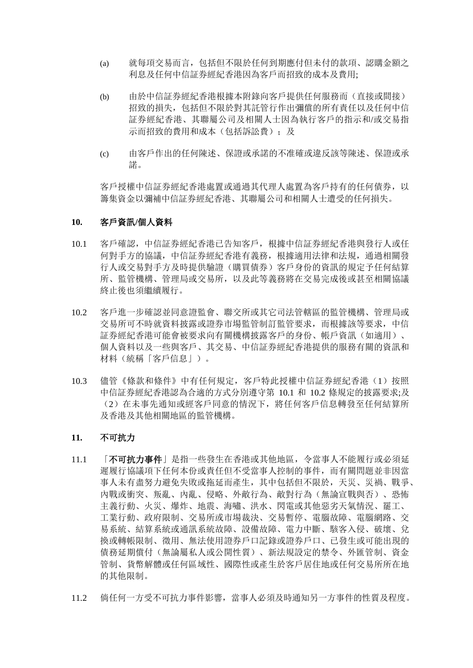- (a) 就每項交易而言,包括但不限於任何到期應付但未付的款項、認購金額之 利息及任何中信証券經紀香港因為客戶而招致的成本及費用;
- (b) 由於中信証券經紀香港根據本附錄向客戶提供任何服務而(直接或間接) 招致的損失,包括但不限於對其託管行作出彌償的所有責任以及任何中信 証券經紀香港、其聯屬公司及相關人士因為執行客戶的指示和/或交易指 示而招致的費用和成本(包括訴訟費):及
- (c) 由客戶作出的任何陳述、保證或承諾的不准確或違反該等陳述、保證或承 諾。

客戶授權中信証券經紀香港處置或通過其代理人處置為客戶持有的任何債券,以 籌集資金以彌補中信証券經紀香港、其聯屬公司和相關人士遭受的任何損失。

## **10.** 客戶資訊**/**個人資料

- 10.1 客戶確認,中信証券經紀香港已告知客戶,根據中信証券經紀香港與發行人或任 何對手方的協議,中信証券經紀香港有義務,根據適用法律和法規,通過相關發 行人或交易對手方及時提供驗證(購買債券)客戶身份的資訊的規定予任何結算 所、監管機構、管理局或交易所,以及此等義務將在交易完成後或甚至相關協議 終止後也須繼續履行。
- 10.2 客戶進一步確認並同意證監會、聯交所或其它司法管轄區的監管機構、管理局或 交易所可不時就資料披露或證券市場監管制訂監管要求,而根據該等要求,中信 証券經紀香港可能會被要求向有關機構披露客戶的身份、帳戶資訊(如適用)、 個人資料以及一些與客戶、其交易、中信証券經紀香港提供的服務有關的資訊和 材料(統稱「客戶信息」)。
- 10.3 儘管《條款和條件》中有任何規定,客戶特此授權中信証券經紀香港(1)按照 中信証券經紀香港認為合適的方式分別遵守第 10.1 和 10.2 條規定的披露要求;及 (2)在未事先通知或經客戶同意的情況下,將任何客戶信息轉發至任何結算所 及香港及其他相關地區的監管機構。

## **11.** 不可抗力

- 11.1 「不可抗力事件」是指一些發生在香港或其他地區, 令當事人不能履行或必須延 遲履行協議項下任何本份或責任但不受當事人控制的事件,而有關問題並非因當 事人未有盡努力避免失敗或拖延而產生,其中包括但不限於,天災、災禍、戰爭、 內戰或衝突、叛亂、內亂、侵略、外敵行為、敵對行為(無論宣戰與否)、恐怖 主義行動、火災、爆炸、地震、海嘯、洪水、閃電或其他惡劣天氣情況、罷工、 工業行動、政府限制、交易所或市場裁決、交易暫停、電腦故障、電腦網路、交 易系統、結算系統或通訊系統故障、設備故障、電力中斷、駭客入侵、破壞、兌 換或轉帳限制、徵用、無法使用證券戶口記錄或證券戶口、已發生或可能出現的 債務延期償付(無論屬私人或公開性質)、新法規設定的禁令、外匯管制、資金 管制、貨幣解體或任何區域性、國際性或產生於客戶居住地或任何交易所所在地 的其他限制。
- 11.2 倘任何一方受不可抗力事件影響,當事人必須及時通知另一方事件的性質及程度。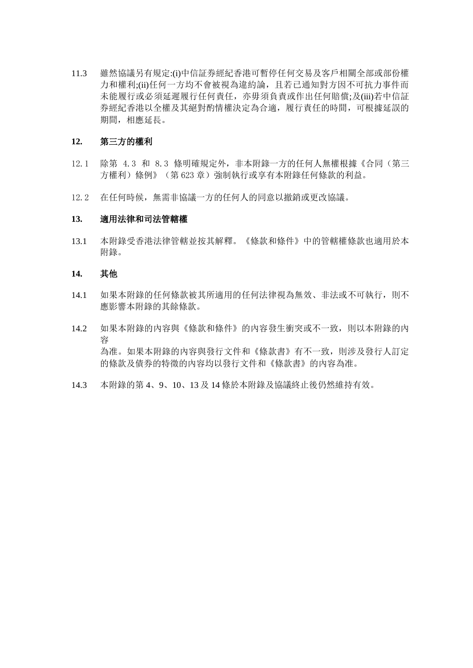11.3 雖然協議另有規定:(i)中信証券經紀香港可暫停任何交易及客戶相關全部或部份權 力和權利;(ii)任何一方均不會被視為違約論,且若已通知對方因不可抗力事件而 未能履行或必須延遲履行任何責任,亦毋須負責或作出任何賠償;及(iii)若中信証 券經紀香港以全權及其絕對酌情權決定為合適,履行責任的時間,可根據延誤的 期間,相應延長。

## **12.** 第三方的權利

- 12.1 除第 4.3 和 8.3 條明確規定外,非本附錄一方的任何人無權根據《合同(第三 方權利)條例》(第623章)強制執行或享有本附錄任何條款的利益。
- 12.2 在任何時候,無需非協議一方的任何人的同意以撤銷或更改協議。

## **13.** 適用法律和司法管轄權

13.1 本附錄受香港法律管轄並按其解釋。《條款和條件》中的管轄權條款也適用於本 附錄。

# **14.** 其他

- 14.1 如果本附錄的任何條款被其所適用的任何法律視為無效、非法或不可執行,則不 應影響本附錄的其餘條款。
- 14.2 如果本附錄的內容與《條款和條件》的內容發生衝突或不一致,則以本附錄的內 容 為准。如果本附錄的內容與發行文件和《條款書》有不一致,則涉及發行人訂定 的條款及債券的特徵的內容均以發行文件和《條款書》的內容為准。
- 14.3 本附錄的第 4、9、10、13 及 14 條於本附錄及協議終止後仍然維持有效。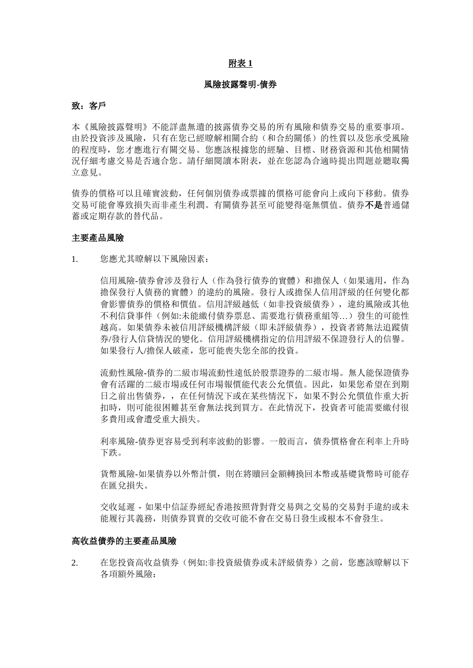## 附表 **1**

#### 風險披露聲明**-**債券

#### 致: 客戶

本《風險披露聲明》不能詳盡無遺的披露債券交易的所有風險和債券交易的重要事項。 由於投資涉及風險,只有在您已經瞭解相關合約(和合約關係)的性質以及您承受風險 的程度時,您才應進行有關交易。您應該根據您的經驗、目標、財務資源和其他相關情 況仔細考慮交易是否適合您。請仔細閱讀本附表,並在您認為合適時提出問題並聽取獨 立意見。

債券的價格可以且確實波動,任何個別債券或票據的價格可能會向上或向下移動。債券 交易可能會導致損失而非產生利潤。有關債券甚至可能變得毫無價值。債券不是普通儲 蓄或定期存款的替代品。

#### 主要產品風險

1. 您應尤其瞭解以下風險因素:

信用風險-債券會涉及發行人(作為發行債券的實體)和擔保人(如果適用,作為 擔保發行人債務的實體)的違約的風險。發行人或擔保人信用評級的任何變化都 會影響債券的價格和價值。信用評級越低(如非投資級債券),違約風險或其他 不利信貸事件(例如:未能繳付債券票息、需要進行債務重組等…)發生的可能性 越高。如果債券未被信用評級機構評級(即未評級債券),投資者將無法追蹤債 券/發行人信貸情況的變化。信用評級機構指定的信用評級不保證發行人的信譽。 如果發行人/擔保人破產,您可能喪失您全部的投資。

流動性風險-債券的二級市場流動性遠低於股票證券的二級市場。無人能保證債券 會有活躍的二級市場或任何市場報價能代表公允價值。因此,如果您希望在到期 日之前出售債券,,在任何情況下或在某些情況下,如果不對公允價值作重大折 扣時,則可能很困難甚至會無法找到買方。在此情況下,投資者可能需要繳付很 多費用或會遭受重大損失。

利率風險-債券更容易受到利率波動的影響。一般而言,債券價格會在利率上升時 下跌。

貨幣風險-如果債券以外幣計價,則在將贖回金額轉換回本幣或基礎貨幣時可能存 在匯兌損失。

交收延遲 - 如果中信証券經紀香港按照背對背交易與之交易的交易對手違約或未 能履行其義務,則債券買賣的交收可能不會在交易日發生或根本不會發生。

### 高收益債券的主要產品風險

2. 在您投資高收益債券(例如:非投資級債券或未評級債券)之前,您應該瞭解以下 各項額外風險: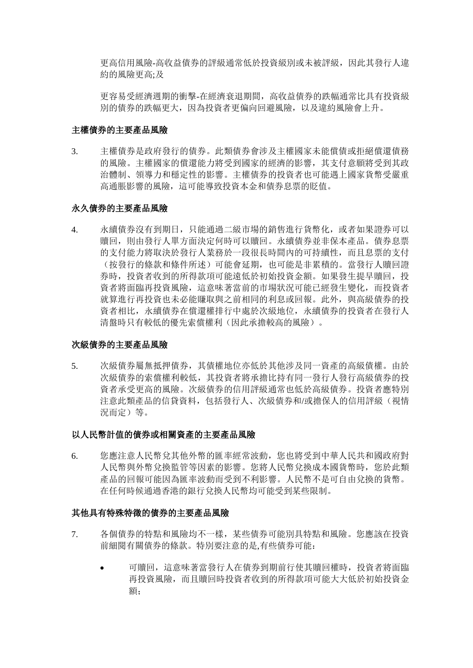更高信用風險-高收益債券的評級通常低於投資級別或未被評級,因此其發行人違 約的風險更高;及

更容易受經濟週期的衝擊-在經濟衰退期間,高收益債券的跌幅通常比具有投資級 別的債券的跌幅更大,因為投資者更偏向回避風險,以及違約風險會上升。

### 主權債券的主要產品風險

3. 主權債券是政府發行的債券。此類債券會涉及主權國家未能償債或拒絕償還債務 的風險。主權國家的償還能力將受到國家的經濟的影響,其支付意願將受到其政 治體制、領導力和穩定性的影響。主權債券的投資者也可能遇上國家貨幣受嚴重 高通脹影響的風險,這可能導致投資本金和債券息票的貶值。

# 永久債券的主要產品風險

4. 永續債券沒有到期日,只能通過二級市場的銷售進行貨幣化,或者如果證券可以 贖回,則由發行人單方面決定何時可以贖回。永續債券並非保本產品。債券息票 的支付能力將取決於發行人業務於一段很長時間內的可持續性,而且息票的支付 (按發行的條款和條件所述)可能會延期,也可能是非累積的。當發行人贖回證 券時,投資者收到的所得款項可能遠低於初始投資金額。如果發生提早贖回,投 資者將面臨再投資風險,這意味著當前的市場狀況可能已經發生變化,而投資者 就算進行再投資也未必能賺取與之前相同的利息或回報。此外,與高級債券的投 資者相比,永續債券在償還權排行中處於次級地位,永續債券的投資者在發行人 清盤時只有較低的優先索償權利(因此承擔較高的風險)。

## 次級債券的主要產品風險

5. 次級債券屬無抵押債券,其債權地位亦低於其他涉及同一資產的高級債權。由於 次級債券的索償權利較低,其投資者將承擔比持有同一發行人發行高級債券的投 資者承受更高的風險。次級債券的信用評級通常也低於高級債券。投資者應特別 注意此類產品的信貸資料,包括發行人、次級債券和/或擔保人的信用評級(視情 況而定)等。

#### 以人民幣計值的債券或相關資產的主要產品風險

6. 您應注意人民幣兌其他外幣的匯率經常波動,您也將受到中華人民共和國政府對 人民幣與外幣兌換監管等因素的影響。您將人民幣兌換成本國貨幣時,您於此類 產品的回報可能因為匯率波動而受到不利影響。人民幣不是可自由兌換的貨幣。 在任何時候通過香港的銀行兌換人民幣均可能受到某些限制。

#### 其他具有特殊特徵的債券的主要產品風險

- 7. 各個債券的特點和風險均不一樣,某些債券可能別具特點和風險。您應該在投資 前細閱有關債券的條款。特別要注意的是,有些債券可能:
	- 可贖回,這意味著當發行人在債券到期前行使其贖回權時,投資者將面臨 再投資風險,而且贖回時投資者收到的所得款項可能大大低於初始投資金 額;